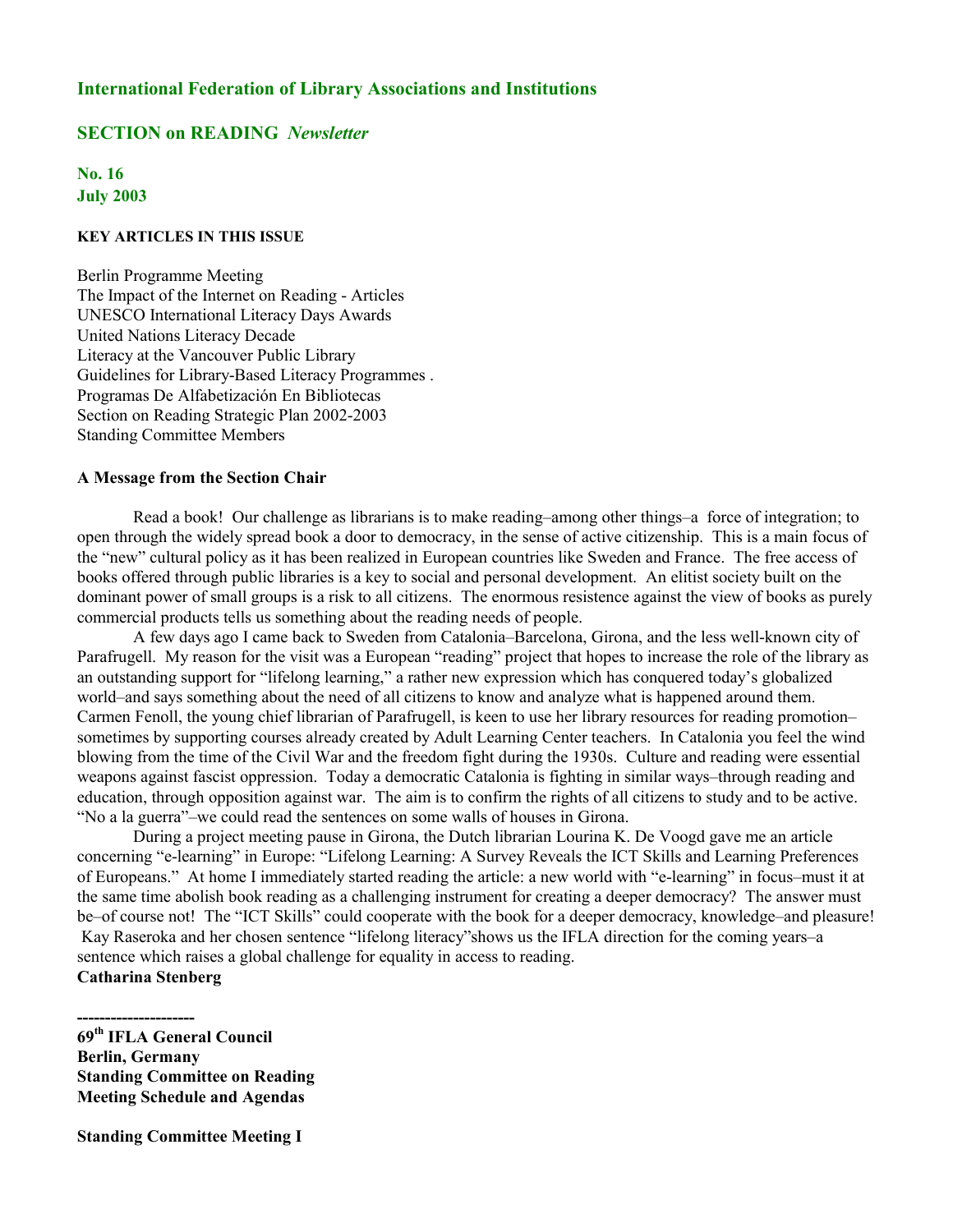## **International Federation of Library Associations and Institutions**

# **SECTION on READING** *Newsletter*

# **No. 16 July 2003**

#### **KEY ARTICLES IN THIS ISSUE**

Berlin Programme Meeting The Impact of the Internet on Reading - Articles UNESCO International Literacy Days Awards United Nations Literacy Decade Literacy at the Vancouver Public Library Guidelines for Library-Based Literacy Programmes . Programas De Alfabetización En Bibliotecas Section on Reading Strategic Plan 2002-2003 Standing Committee Members

#### **A Message from the Section Chair**

Read a book! Our challenge as librarians is to make reading–among other things–a force of integration; to open through the widely spread book a door to democracy, in the sense of active citizenship. This is a main focus of the "new" cultural policy as it has been realized in European countries like Sweden and France. The free access of books offered through public libraries is a key to social and personal development. An elitist society built on the dominant power of small groups is a risk to all citizens. The enormous resistence against the view of books as purely commercial products tells us something about the reading needs of people.

A few days ago I came back to Sweden from Catalonia–Barcelona, Girona, and the less well-known city of Parafrugell. My reason for the visit was a European "reading" project that hopes to increase the role of the library as an outstanding support for "lifelong learning," a rather new expression which has conquered today's globalized world–and says something about the need of all citizens to know and analyze what is happened around them. Carmen Fenoll, the young chief librarian of Parafrugell, is keen to use her library resources for reading promotion– sometimes by supporting courses already created by Adult Learning Center teachers. In Catalonia you feel the wind blowing from the time of the Civil War and the freedom fight during the 1930s. Culture and reading were essential weapons against fascist oppression. Today a democratic Catalonia is fighting in similar ways–through reading and education, through opposition against war. The aim is to confirm the rights of all citizens to study and to be active. "No a la guerra"–we could read the sentences on some walls of houses in Girona.

During a project meeting pause in Girona, the Dutch librarian Lourina K. De Voogd gave me an article concerning "e-learning" in Europe: "Lifelong Learning: A Survey Reveals the ICT Skills and Learning Preferences of Europeans." At home I immediately started reading the article: a new world with "e-learning" in focus–must it at the same time abolish book reading as a challenging instrument for creating a deeper democracy? The answer must be–of course not! The "ICT Skills" could cooperate with the book for a deeper democracy, knowledge–and pleasure! Kay Raseroka and her chosen sentence "lifelong literacy"shows us the IFLA direction for the coming years–a sentence which raises a global challenge for equality in access to reading. **Catharina Stenberg**

**Standing Committee Meeting I**

**<sup>---------------------</sup> 69th IFLA General Council Berlin, Germany Standing Committee on Reading Meeting Schedule and Agendas**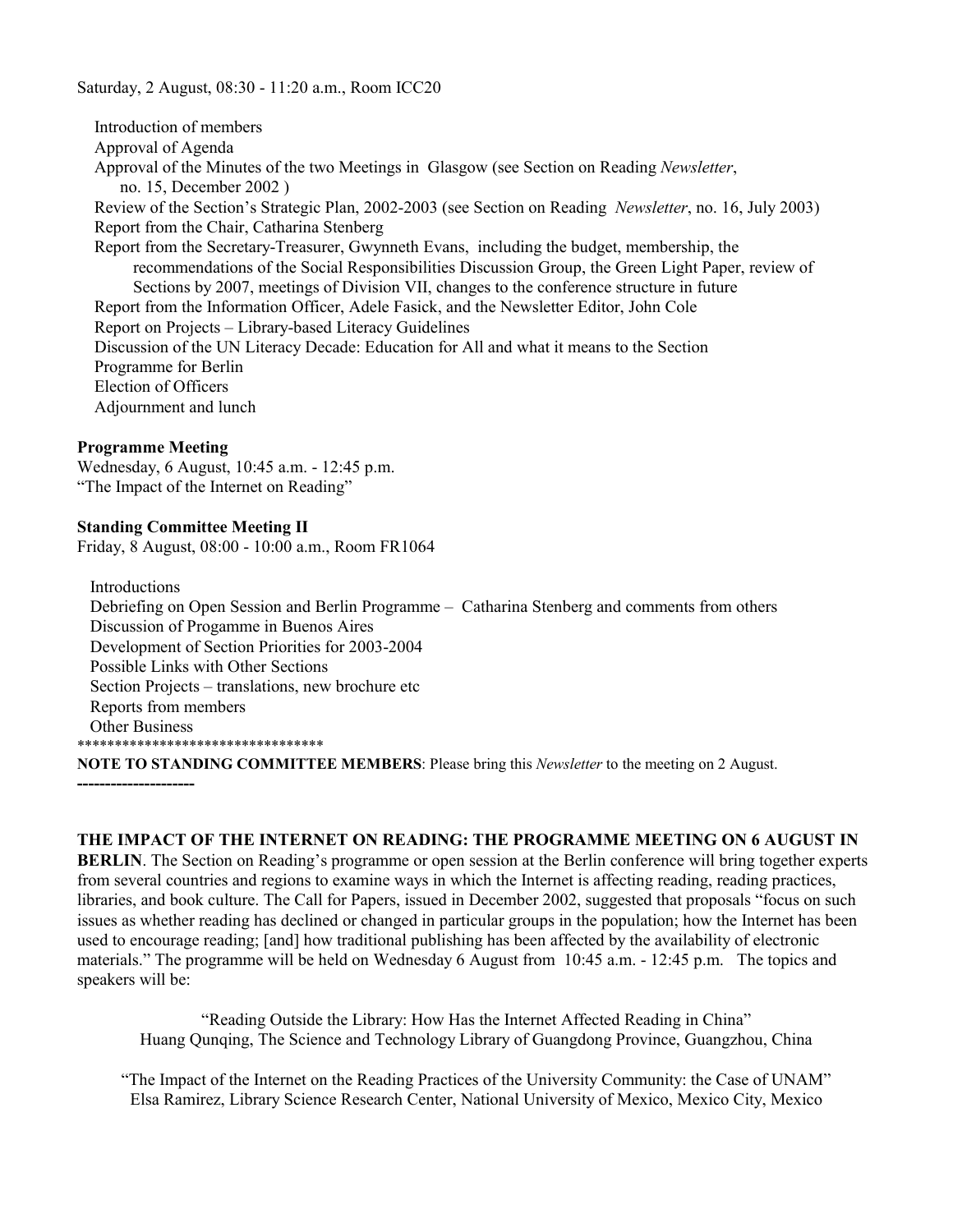Saturday, 2 August, 08:30 - 11:20 a.m., Room ICC20

 Introduction of members Approval of Agenda Approval of the Minutes of the two Meetings in Glasgow (see Section on Reading *Newsletter*, no. 15, December 2002 ) Review of the Section's Strategic Plan, 2002-2003 (see Section on Reading *Newsletter*, no. 16, July 2003) Report from the Chair, Catharina Stenberg Report from the Secretary-Treasurer, Gwynneth Evans, including the budget, membership, the recommendations of the Social Responsibilities Discussion Group, the Green Light Paper, review of Sections by 2007, meetings of Division VII, changes to the conference structure in future Report from the Information Officer, Adele Fasick, and the Newsletter Editor, John Cole Report on Projects – Library-based Literacy Guidelines Discussion of the UN Literacy Decade: Education for All and what it means to the Section Programme for Berlin Election of Officers Adjournment and lunch

#### **Programme Meeting**

**---------------------**

Wednesday, 6 August, 10:45 a.m. - 12:45 p.m. "The Impact of the Internet on Reading"

#### **Standing Committee Meeting II**

Friday, 8 August, 08:00 - 10:00 a.m., Room FR1064

 Introductions Debriefing on Open Session and Berlin Programme – Catharina Stenberg and comments from others Discussion of Progamme in Buenos Aires Development of Section Priorities for 2003-2004 Possible Links with Other Sections Section Projects – translations, new brochure etc Reports from members Other Business \*\*\*\*\*\*\*\*\*\*\*\*\*\*\*\*\*\*\*\*\*\*\*\*\*\*\*\*\*\*\*\*\*

**NOTE TO STANDING COMMITTEE MEMBERS**: Please bring this *Newsletter* to the meeting on 2 August.

**THE IMPACT OF THE INTERNET ON READING: THE PROGRAMME MEETING ON 6 AUGUST IN**

**BERLIN**. The Section on Reading's programme or open session at the Berlin conference will bring together experts from several countries and regions to examine ways in which the Internet is affecting reading, reading practices, libraries, and book culture. The Call for Papers, issued in December 2002, suggested that proposals "focus on such issues as whether reading has declined or changed in particular groups in the population; how the Internet has been used to encourage reading; [and] how traditional publishing has been affected by the availability of electronic materials." The programme will be held on Wednesday 6 August from 10:45 a.m. - 12:45 p.m. The topics and speakers will be:

"Reading Outside the Library: How Has the Internet Affected Reading in China" Huang Qunqing, The Science and Technology Library of Guangdong Province, Guangzhou, China

"The Impact of the Internet on the Reading Practices of the University Community: the Case of UNAM" Elsa Ramirez, Library Science Research Center, National University of Mexico, Mexico City, Mexico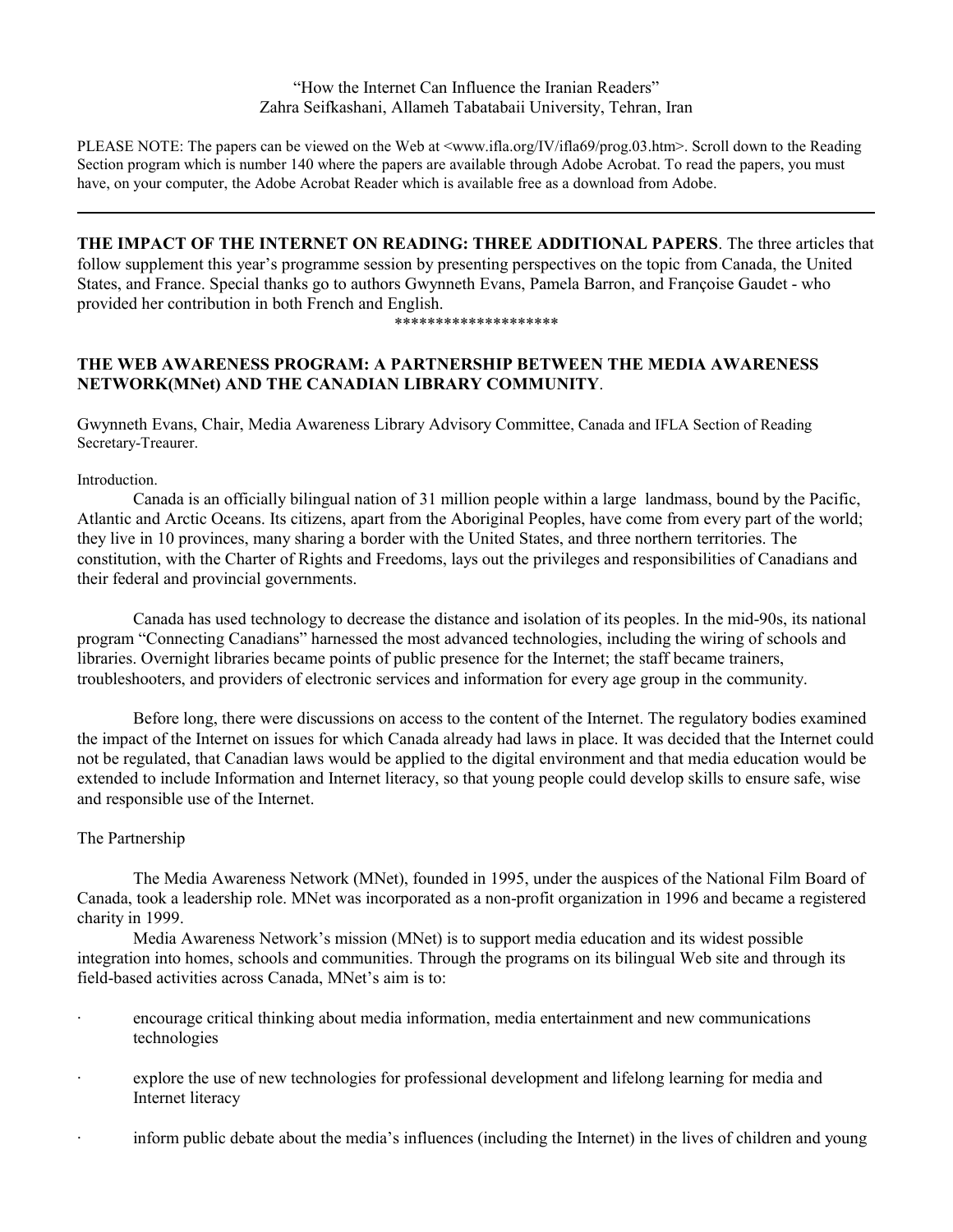"How the Internet Can Influence the Iranian Readers" Zahra Seifkashani, Allameh Tabatabaii University, Tehran, Iran

PLEASE NOTE: The papers can be viewed on the Web at <www.ifla.org/IV/ifla69/prog.03.htm>. Scroll down to the Reading Section program which is number 140 where the papers are available through Adobe Acrobat. To read the papers, you must have, on your computer, the Adobe Acrobat Reader which is available free as a download from Adobe.

**THE IMPACT OF THE INTERNET ON READING: THREE ADDITIONAL PAPERS**. The three articles that follow supplement this year's programme session by presenting perspectives on the topic from Canada, the United States, and France. Special thanks go to authors Gwynneth Evans, Pamela Barron, and Françoise Gaudet - who provided her contribution in both French and English.

#### \*\*\*\*\*\*\*\*\*\*\*\*\*\*\*\*\*\*\*\*

# **THE WEB AWARENESS PROGRAM: A PARTNERSHIP BETWEEN THE MEDIA AWARENESS NETWORK(MNet) AND THE CANADIAN LIBRARY COMMUNITY**.

Gwynneth Evans, Chair, Media Awareness Library Advisory Committee, Canada and IFLA Section of Reading Secretary-Treaurer.

Introduction.

Canada is an officially bilingual nation of 31 million people within a large landmass, bound by the Pacific, Atlantic and Arctic Oceans. Its citizens, apart from the Aboriginal Peoples, have come from every part of the world; they live in 10 provinces, many sharing a border with the United States, and three northern territories. The constitution, with the Charter of Rights and Freedoms, lays out the privileges and responsibilities of Canadians and their federal and provincial governments.

Canada has used technology to decrease the distance and isolation of its peoples. In the mid-90s, its national program "Connecting Canadians" harnessed the most advanced technologies, including the wiring of schools and libraries. Overnight libraries became points of public presence for the Internet; the staff became trainers, troubleshooters, and providers of electronic services and information for every age group in the community.

Before long, there were discussions on access to the content of the Internet. The regulatory bodies examined the impact of the Internet on issues for which Canada already had laws in place. It was decided that the Internet could not be regulated, that Canadian laws would be applied to the digital environment and that media education would be extended to include Information and Internet literacy, so that young people could develop skills to ensure safe, wise and responsible use of the Internet.

# The Partnership

The Media Awareness Network (MNet), founded in 1995, under the auspices of the National Film Board of Canada, took a leadership role. MNet was incorporated as a non-profit organization in 1996 and became a registered charity in 1999.

Media Awareness Network's mission (MNet) is to support media education and its widest possible integration into homes, schools and communities. Through the programs on its bilingual Web site and through its field-based activities across Canada, MNet's aim is to:

- encourage critical thinking about media information, media entertainment and new communications technologies
- explore the use of new technologies for professional development and lifelong learning for media and Internet literacy
- inform public debate about the media's influences (including the Internet) in the lives of children and young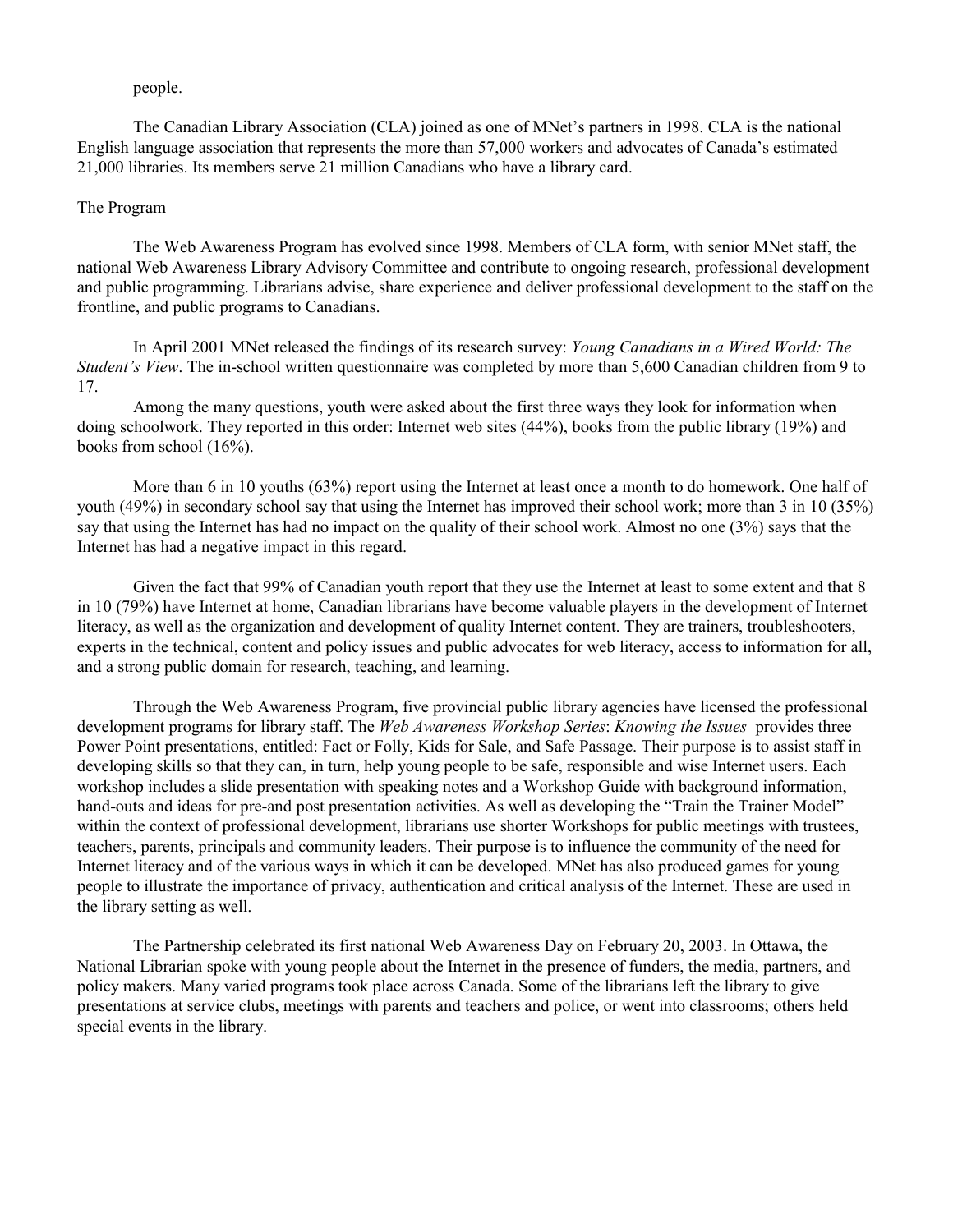people.

The Canadian Library Association (CLA) joined as one of MNet's partners in 1998. CLA is the national English language association that represents the more than 57,000 workers and advocates of Canada's estimated 21,000 libraries. Its members serve 21 million Canadians who have a library card.

# The Program

The Web Awareness Program has evolved since 1998. Members of CLA form, with senior MNet staff, the national Web Awareness Library Advisory Committee and contribute to ongoing research, professional development and public programming. Librarians advise, share experience and deliver professional development to the staff on the frontline, and public programs to Canadians.

In April 2001 MNet released the findings of its research survey: *Young Canadians in a Wired World: The Student's View*. The in-school written questionnaire was completed by more than 5,600 Canadian children from 9 to 17.

Among the many questions, youth were asked about the first three ways they look for information when doing schoolwork. They reported in this order: Internet web sites (44%), books from the public library (19%) and books from school (16%).

More than 6 in 10 youths (63%) report using the Internet at least once a month to do homework. One half of youth (49%) in secondary school say that using the Internet has improved their school work; more than 3 in 10 (35%) say that using the Internet has had no impact on the quality of their school work. Almost no one (3%) says that the Internet has had a negative impact in this regard.

Given the fact that 99% of Canadian youth report that they use the Internet at least to some extent and that 8 in 10 (79%) have Internet at home, Canadian librarians have become valuable players in the development of Internet literacy, as well as the organization and development of quality Internet content. They are trainers, troubleshooters, experts in the technical, content and policy issues and public advocates for web literacy, access to information for all, and a strong public domain for research, teaching, and learning.

Through the Web Awareness Program, five provincial public library agencies have licensed the professional development programs for library staff. The *Web Awareness Workshop Series*: *Knowing the Issues* provides three Power Point presentations, entitled: Fact or Folly, Kids for Sale, and Safe Passage. Their purpose is to assist staff in developing skills so that they can, in turn, help young people to be safe, responsible and wise Internet users. Each workshop includes a slide presentation with speaking notes and a Workshop Guide with background information, hand-outs and ideas for pre-and post presentation activities. As well as developing the "Train the Trainer Model" within the context of professional development, librarians use shorter Workshops for public meetings with trustees, teachers, parents, principals and community leaders. Their purpose is to influence the community of the need for Internet literacy and of the various ways in which it can be developed. MNet has also produced games for young people to illustrate the importance of privacy, authentication and critical analysis of the Internet. These are used in the library setting as well.

The Partnership celebrated its first national Web Awareness Day on February 20, 2003. In Ottawa, the National Librarian spoke with young people about the Internet in the presence of funders, the media, partners, and policy makers. Many varied programs took place across Canada. Some of the librarians left the library to give presentations at service clubs, meetings with parents and teachers and police, or went into classrooms; others held special events in the library.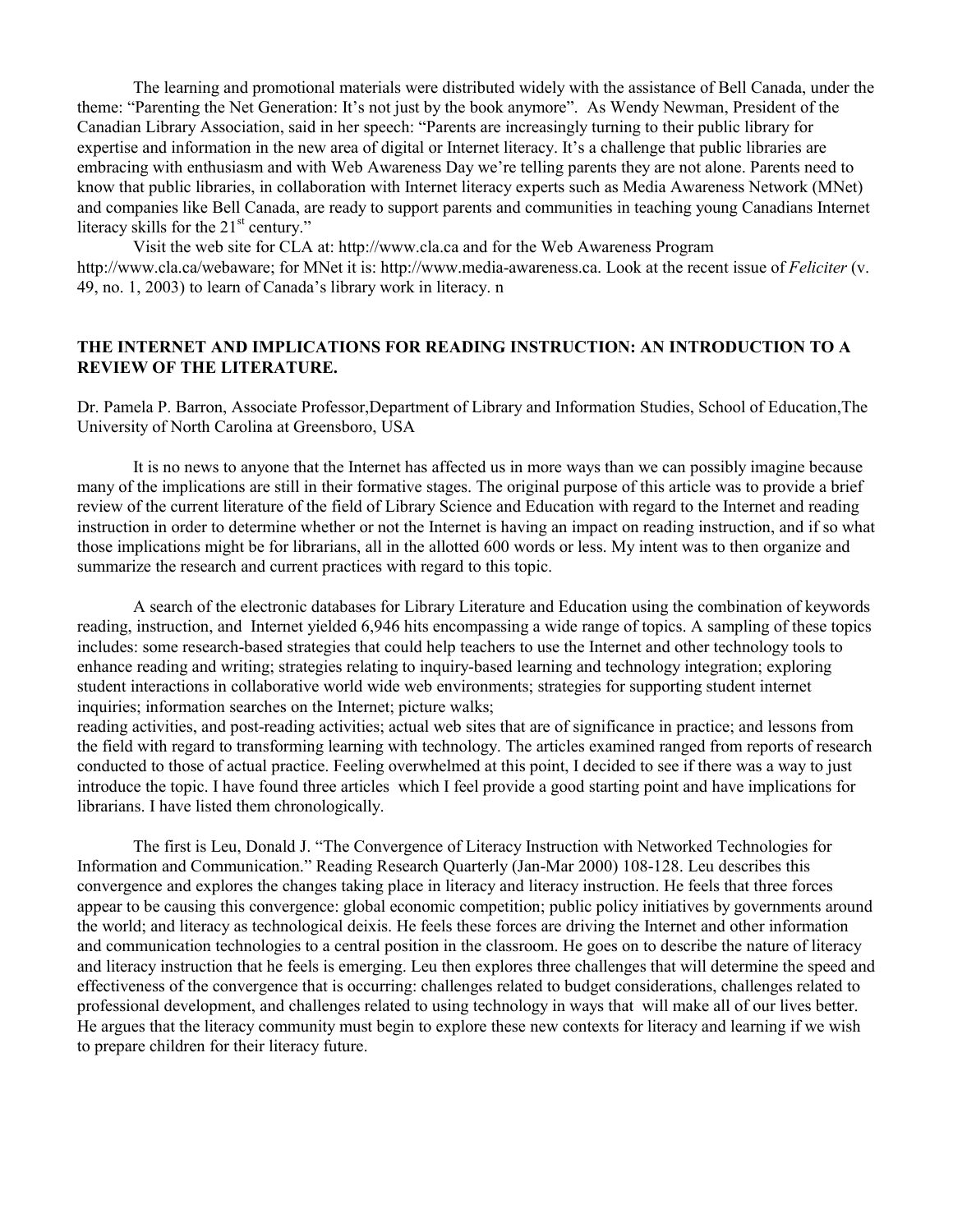The learning and promotional materials were distributed widely with the assistance of Bell Canada, under the theme: "Parenting the Net Generation: It's not just by the book anymore". As Wendy Newman, President of the Canadian Library Association, said in her speech: "Parents are increasingly turning to their public library for expertise and information in the new area of digital or Internet literacy. It's a challenge that public libraries are embracing with enthusiasm and with Web Awareness Day we're telling parents they are not alone. Parents need to know that public libraries, in collaboration with Internet literacy experts such as Media Awareness Network (MNet) and companies like Bell Canada, are ready to support parents and communities in teaching young Canadians Internet literacy skills for the 21<sup>st</sup> century."

Visit the web site for CLA at: http://www.cla.ca and for the Web Awareness Program http://www.cla.ca/webaware; for MNet it is: http://www.media-awareness.ca. Look at the recent issue of *Feliciter* (v. 49, no. 1, 2003) to learn of Canada's library work in literacy. n

# **THE INTERNET AND IMPLICATIONS FOR READING INSTRUCTION: AN INTRODUCTION TO A REVIEW OF THE LITERATURE.**

Dr. Pamela P. Barron, Associate Professor,Department of Library and Information Studies, School of Education,The University of North Carolina at Greensboro, USA

It is no news to anyone that the Internet has affected us in more ways than we can possibly imagine because many of the implications are still in their formative stages. The original purpose of this article was to provide a brief review of the current literature of the field of Library Science and Education with regard to the Internet and reading instruction in order to determine whether or not the Internet is having an impact on reading instruction, and if so what those implications might be for librarians, all in the allotted 600 words or less. My intent was to then organize and summarize the research and current practices with regard to this topic.

A search of the electronic databases for Library Literature and Education using the combination of keywords reading, instruction, and Internet yielded 6,946 hits encompassing a wide range of topics. A sampling of these topics includes: some research-based strategies that could help teachers to use the Internet and other technology tools to enhance reading and writing; strategies relating to inquiry-based learning and technology integration; exploring student interactions in collaborative world wide web environments; strategies for supporting student internet inquiries; information searches on the Internet; picture walks;

reading activities, and post-reading activities; actual web sites that are of significance in practice; and lessons from the field with regard to transforming learning with technology. The articles examined ranged from reports of research conducted to those of actual practice. Feeling overwhelmed at this point, I decided to see if there was a way to just introduce the topic. I have found three articles which I feel provide a good starting point and have implications for librarians. I have listed them chronologically.

The first is Leu, Donald J. "The Convergence of Literacy Instruction with Networked Technologies for Information and Communication." Reading Research Quarterly (Jan-Mar 2000) 108-128. Leu describes this convergence and explores the changes taking place in literacy and literacy instruction. He feels that three forces appear to be causing this convergence: global economic competition; public policy initiatives by governments around the world; and literacy as technological deixis. He feels these forces are driving the Internet and other information and communication technologies to a central position in the classroom. He goes on to describe the nature of literacy and literacy instruction that he feels is emerging. Leu then explores three challenges that will determine the speed and effectiveness of the convergence that is occurring: challenges related to budget considerations, challenges related to professional development, and challenges related to using technology in ways that will make all of our lives better. He argues that the literacy community must begin to explore these new contexts for literacy and learning if we wish to prepare children for their literacy future.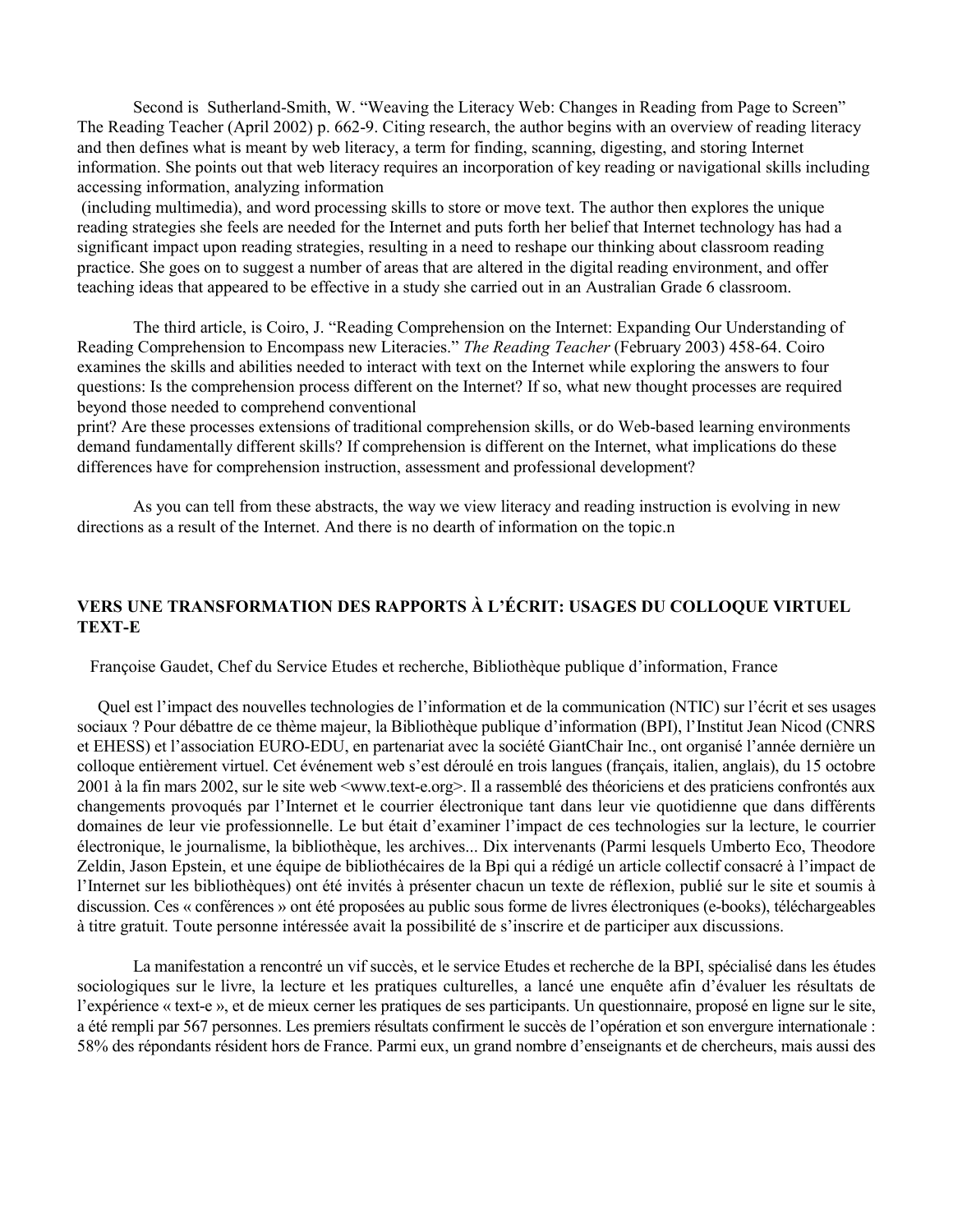Second is Sutherland-Smith, W. "Weaving the Literacy Web: Changes in Reading from Page to Screen" The Reading Teacher (April 2002) p. 662-9. Citing research, the author begins with an overview of reading literacy and then defines what is meant by web literacy, a term for finding, scanning, digesting, and storing Internet information. She points out that web literacy requires an incorporation of key reading or navigational skills including accessing information, analyzing information

 (including multimedia), and word processing skills to store or move text. The author then explores the unique reading strategies she feels are needed for the Internet and puts forth her belief that Internet technology has had a significant impact upon reading strategies, resulting in a need to reshape our thinking about classroom reading practice. She goes on to suggest a number of areas that are altered in the digital reading environment, and offer teaching ideas that appeared to be effective in a study she carried out in an Australian Grade 6 classroom.

The third article, is Coiro, J. "Reading Comprehension on the Internet: Expanding Our Understanding of Reading Comprehension to Encompass new Literacies." *The Reading Teacher* (February 2003) 458-64. Coiro examines the skills and abilities needed to interact with text on the Internet while exploring the answers to four questions: Is the comprehension process different on the Internet? If so, what new thought processes are required beyond those needed to comprehend conventional

print? Are these processes extensions of traditional comprehension skills, or do Web-based learning environments demand fundamentally different skills? If comprehension is different on the Internet, what implications do these differences have for comprehension instruction, assessment and professional development?

As you can tell from these abstracts, the way we view literacy and reading instruction is evolving in new directions as a result of the Internet. And there is no dearth of information on the topic.n

# **VERS UNE TRANSFORMATION DES RAPPORTS À L'ÉCRIT: USAGES DU COLLOQUE VIRTUEL TEXT-E**

Françoise Gaudet, Chef du Service Etudes et recherche, Bibliothèque publique d'information, France

 Quel est l'impact des nouvelles technologies de l'information et de la communication (NTIC) sur l'écrit et ses usages sociaux ? Pour débattre de ce thème majeur, la Bibliothèque publique d'information (BPI), l'Institut Jean Nicod (CNRS et EHESS) et l'association EURO-EDU, en partenariat avec la société GiantChair Inc., ont organisé l'année dernière un colloque entièrement virtuel. Cet événement web s'est déroulé en trois langues (français, italien, anglais), du 15 octobre 2001 à la fin mars 2002, sur le site web <www.text-e.org>. Il a rassemblé des théoriciens et des praticiens confrontés aux changements provoqués par l'Internet et le courrier électronique tant dans leur vie quotidienne que dans différents domaines de leur vie professionnelle. Le but était d'examiner l'impact de ces technologies sur la lecture, le courrier électronique, le journalisme, la bibliothèque, les archives... Dix intervenants (Parmi lesquels Umberto Eco, Theodore Zeldin, Jason Epstein, et une équipe de bibliothécaires de la Bpi qui a rédigé un article collectif consacré à l'impact de l'Internet sur les bibliothèques) ont été invités à présenter chacun un texte de réflexion, publié sur le site et soumis à discussion. Ces « conférences » ont été proposées au public sous forme de livres électroniques (e-books), téléchargeables à titre gratuit. Toute personne intéressée avait la possibilité de s'inscrire et de participer aux discussions.

La manifestation a rencontré un vif succès, et le service Etudes et recherche de la BPI, spécialisé dans les études sociologiques sur le livre, la lecture et les pratiques culturelles, a lancé une enquête afin d'évaluer les résultats de l'expérience « text-e », et de mieux cerner les pratiques de ses participants. Un questionnaire, proposé en ligne sur le site, a été rempli par 567 personnes. Les premiers résultats confirment le succès de l'opération et son envergure internationale : 58% des répondants résident hors de France. Parmi eux, un grand nombre d'enseignants et de chercheurs, mais aussi des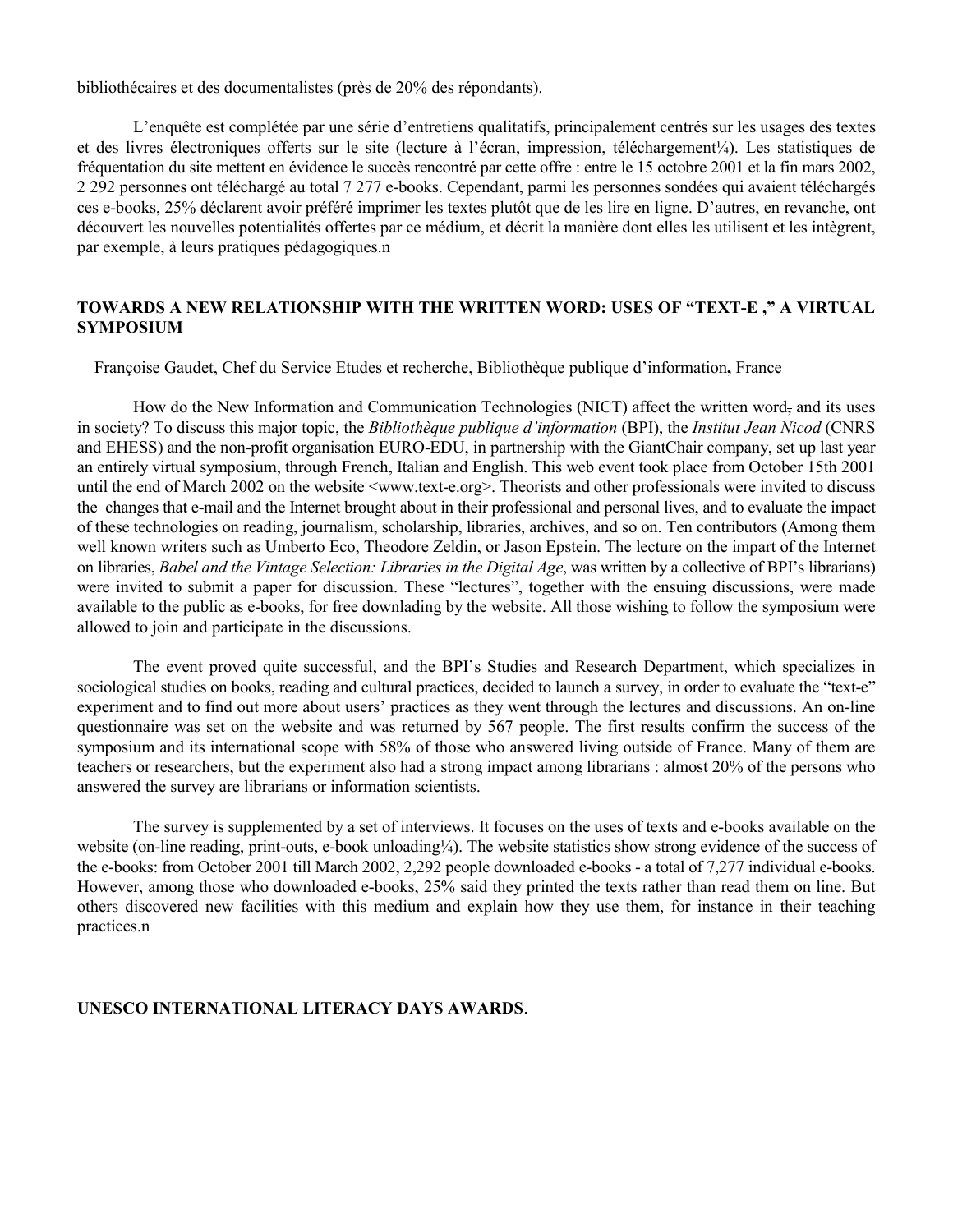bibliothécaires et des documentalistes (près de 20% des répondants).

L'enquête est complétée par une série d'entretiens qualitatifs, principalement centrés sur les usages des textes et des livres électroniques offerts sur le site (lecture à l'écran, impression, téléchargement¼). Les statistiques de fréquentation du site mettent en évidence le succès rencontré par cette offre : entre le 15 octobre 2001 et la fin mars 2002, 2 292 personnes ont téléchargé au total 7 277 e-books. Cependant, parmi les personnes sondées qui avaient téléchargés ces e-books, 25% déclarent avoir préféré imprimer les textes plutôt que de les lire en ligne. D'autres, en revanche, ont découvert les nouvelles potentialités offertes par ce médium, et décrit la manière dont elles les utilisent et les intègrent, par exemple, à leurs pratiques pédagogiques.n

# **TOWARDS A NEW RELATIONSHIP WITH THE WRITTEN WORD: USES OF "TEXT-E ," A VIRTUAL SYMPOSIUM**

Françoise Gaudet, Chef du Service Etudes et recherche, Bibliothèque publique d'information**,** France

How do the New Information and Communication Technologies (NICT) affect the written word, and its uses in society? To discuss this major topic, the *Bibliothèque publique d'information* (BPI), the *Institut Jean Nicod* (CNRS and EHESS) and the non-profit organisation EURO-EDU, in partnership with the GiantChair company, set up last year an entirely virtual symposium, through French, Italian and English. This web event took place from October 15th 2001 until the end of March 2002 on the website <www.text-e.org>. Theorists and other professionals were invited to discuss the changes that e-mail and the Internet brought about in their professional and personal lives, and to evaluate the impact of these technologies on reading, journalism, scholarship, libraries, archives, and so on. Ten contributors (Among them well known writers such as Umberto Eco, Theodore Zeldin, or Jason Epstein. The lecture on the impart of the Internet on libraries, *Babel and the Vintage Selection: Libraries in the Digital Age*, was written by a collective of BPI's librarians) were invited to submit a paper for discussion. These "lectures", together with the ensuing discussions, were made available to the public as e-books, for free downlading by the website. All those wishing to follow the symposium were allowed to join and participate in the discussions.

The event proved quite successful, and the BPI's Studies and Research Department, which specializes in sociological studies on books, reading and cultural practices, decided to launch a survey, in order to evaluate the "text-e" experiment and to find out more about users' practices as they went through the lectures and discussions. An on-line questionnaire was set on the website and was returned by 567 people. The first results confirm the success of the symposium and its international scope with 58% of those who answered living outside of France. Many of them are teachers or researchers, but the experiment also had a strong impact among librarians : almost 20% of the persons who answered the survey are librarians or information scientists.

The survey is supplemented by a set of interviews. It focuses on the uses of texts and e-books available on the website (on-line reading, print-outs, e-book unloading¼). The website statistics show strong evidence of the success of the e-books: from October 2001 till March 2002, 2,292 people downloaded e-books - a total of 7,277 individual e-books. However, among those who downloaded e-books, 25% said they printed the texts rather than read them on line. But others discovered new facilities with this medium and explain how they use them, for instance in their teaching practices.n

# **UNESCO INTERNATIONAL LITERACY DAYS AWARDS**.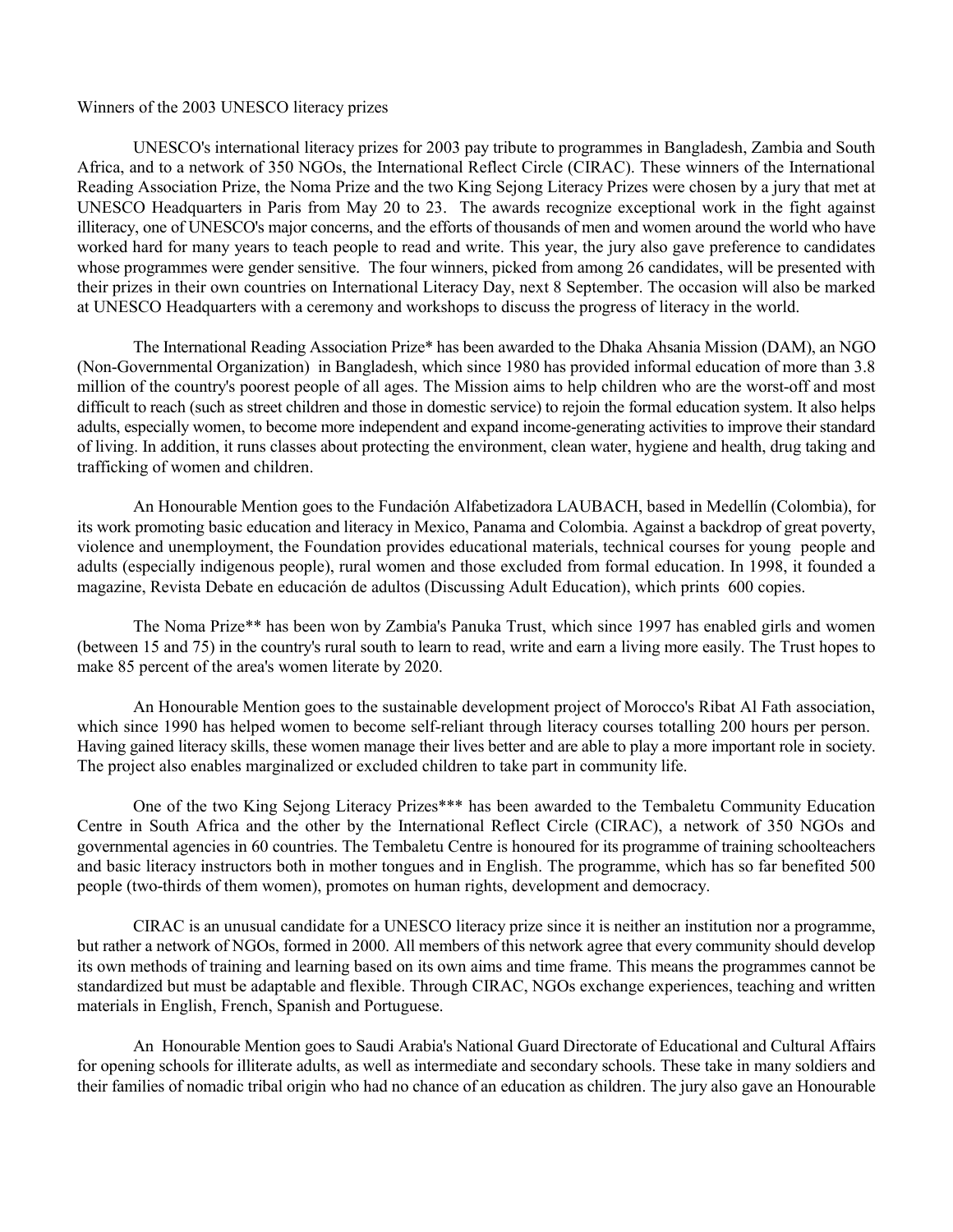#### Winners of the 2003 UNESCO literacy prizes

UNESCO's international literacy prizes for 2003 pay tribute to programmes in Bangladesh, Zambia and South Africa, and to a network of 350 NGOs, the International Reflect Circle (CIRAC). These winners of the International Reading Association Prize, the Noma Prize and the two King Sejong Literacy Prizes were chosen by a jury that met at UNESCO Headquarters in Paris from May 20 to 23. The awards recognize exceptional work in the fight against illiteracy, one of UNESCO's major concerns, and the efforts of thousands of men and women around the world who have worked hard for many years to teach people to read and write. This year, the jury also gave preference to candidates whose programmes were gender sensitive. The four winners, picked from among 26 candidates, will be presented with their prizes in their own countries on International Literacy Day, next 8 September. The occasion will also be marked at UNESCO Headquarters with a ceremony and workshops to discuss the progress of literacy in the world.

The International Reading Association Prize\* has been awarded to the Dhaka Ahsania Mission (DAM), an NGO (Non-Governmental Organization) in Bangladesh, which since 1980 has provided informal education of more than 3.8 million of the country's poorest people of all ages. The Mission aims to help children who are the worst-off and most difficult to reach (such as street children and those in domestic service) to rejoin the formal education system. It also helps adults, especially women, to become more independent and expand income-generating activities to improve their standard of living. In addition, it runs classes about protecting the environment, clean water, hygiene and health, drug taking and trafficking of women and children.

An Honourable Mention goes to the Fundación Alfabetizadora LAUBACH, based in Medellín (Colombia), for its work promoting basic education and literacy in Mexico, Panama and Colombia. Against a backdrop of great poverty, violence and unemployment, the Foundation provides educational materials, technical courses for young people and adults (especially indigenous people), rural women and those excluded from formal education. In 1998, it founded a magazine, Revista Debate en educación de adultos (Discussing Adult Education), which prints 600 copies.

The Noma Prize\*\* has been won by Zambia's Panuka Trust, which since 1997 has enabled girls and women (between 15 and 75) in the country's rural south to learn to read, write and earn a living more easily. The Trust hopes to make 85 percent of the area's women literate by 2020.

An Honourable Mention goes to the sustainable development project of Morocco's Ribat Al Fath association, which since 1990 has helped women to become self-reliant through literacy courses totalling 200 hours per person. Having gained literacy skills, these women manage their lives better and are able to play a more important role in society. The project also enables marginalized or excluded children to take part in community life.

One of the two King Sejong Literacy Prizes\*\*\* has been awarded to the Tembaletu Community Education Centre in South Africa and the other by the International Reflect Circle (CIRAC), a network of 350 NGOs and governmental agencies in 60 countries. The Tembaletu Centre is honoured for its programme of training schoolteachers and basic literacy instructors both in mother tongues and in English. The programme, which has so far benefited 500 people (two-thirds of them women), promotes on human rights, development and democracy.

CIRAC is an unusual candidate for a UNESCO literacy prize since it is neither an institution nor a programme, but rather a network of NGOs, formed in 2000. All members of this network agree that every community should develop its own methods of training and learning based on its own aims and time frame. This means the programmes cannot be standardized but must be adaptable and flexible. Through CIRAC, NGOs exchange experiences, teaching and written materials in English, French, Spanish and Portuguese.

An Honourable Mention goes to Saudi Arabia's National Guard Directorate of Educational and Cultural Affairs for opening schools for illiterate adults, as well as intermediate and secondary schools. These take in many soldiers and their families of nomadic tribal origin who had no chance of an education as children. The jury also gave an Honourable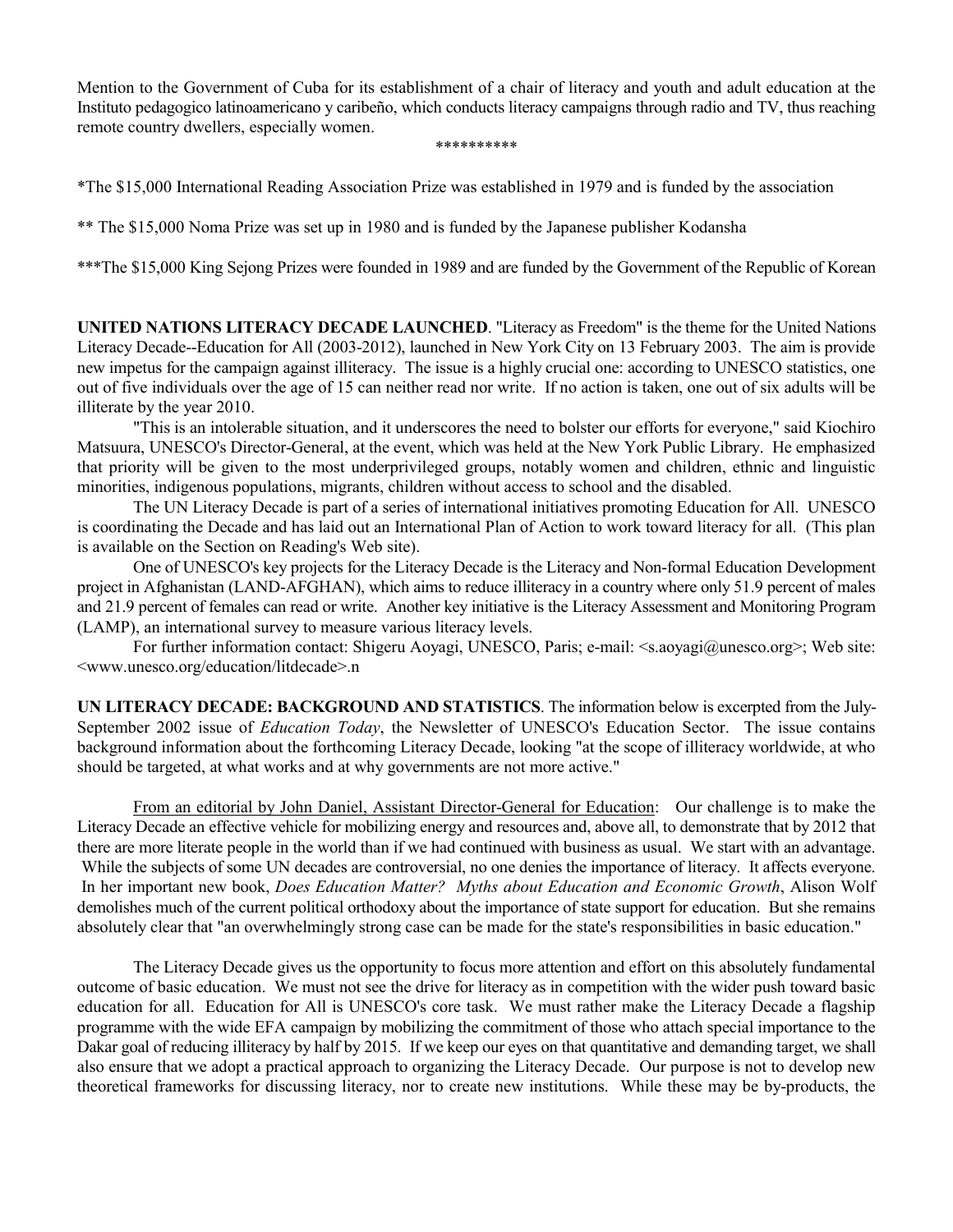Mention to the Government of Cuba for its establishment of a chair of literacy and youth and adult education at the Instituto pedagogico latinoamericano y caribeño, which conducts literacy campaigns through radio and TV, thus reaching remote country dwellers, especially women.

#### \*\*\*\*\*\*\*\*\*\*

\*The \$15,000 International Reading Association Prize was established in 1979 and is funded by the association

\*\* The \$15,000 Noma Prize was set up in 1980 and is funded by the Japanese publisher Kodansha

\*\*\*The \$15,000 King Sejong Prizes were founded in 1989 and are funded by the Government of the Republic of Korean

**UNITED NATIONS LITERACY DECADE LAUNCHED**. "Literacy as Freedom" is the theme for the United Nations Literacy Decade--Education for All (2003-2012), launched in New York City on 13 February 2003. The aim is provide new impetus for the campaign against illiteracy. The issue is a highly crucial one: according to UNESCO statistics, one out of five individuals over the age of 15 can neither read nor write. If no action is taken, one out of six adults will be illiterate by the year 2010.

"This is an intolerable situation, and it underscores the need to bolster our efforts for everyone," said Kiochiro Matsuura, UNESCO's Director-General, at the event, which was held at the New York Public Library. He emphasized that priority will be given to the most underprivileged groups, notably women and children, ethnic and linguistic minorities, indigenous populations, migrants, children without access to school and the disabled.

The UN Literacy Decade is part of a series of international initiatives promoting Education for All. UNESCO is coordinating the Decade and has laid out an International Plan of Action to work toward literacy for all. (This plan is available on the Section on Reading's Web site).

One of UNESCO's key projects for the Literacy Decade is the Literacy and Non-formal Education Development project in Afghanistan (LAND-AFGHAN), which aims to reduce illiteracy in a country where only 51.9 percent of males and 21.9 percent of females can read or write. Another key initiative is the Literacy Assessment and Monitoring Program (LAMP), an international survey to measure various literacy levels.

For further information contact: Shigeru Aoyagi, UNESCO, Paris; e-mail: <s.aoyagi@unesco.org>; Web site: <www.unesco.org/education/litdecade>.n

**UN LITERACY DECADE: BACKGROUND AND STATISTICS**. The information below is excerpted from the July-September 2002 issue of *Education Today*, the Newsletter of UNESCO's Education Sector. The issue contains background information about the forthcoming Literacy Decade, looking "at the scope of illiteracy worldwide, at who should be targeted, at what works and at why governments are not more active."

From an editorial by John Daniel, Assistant Director-General for Education: Our challenge is to make the Literacy Decade an effective vehicle for mobilizing energy and resources and, above all, to demonstrate that by 2012 that there are more literate people in the world than if we had continued with business as usual. We start with an advantage. While the subjects of some UN decades are controversial, no one denies the importance of literacy. It affects everyone. In her important new book, *Does Education Matter? Myths about Education and Economic Growth*, Alison Wolf demolishes much of the current political orthodoxy about the importance of state support for education. But she remains absolutely clear that "an overwhelmingly strong case can be made for the state's responsibilities in basic education."

The Literacy Decade gives us the opportunity to focus more attention and effort on this absolutely fundamental outcome of basic education. We must not see the drive for literacy as in competition with the wider push toward basic education for all. Education for All is UNESCO's core task. We must rather make the Literacy Decade a flagship programme with the wide EFA campaign by mobilizing the commitment of those who attach special importance to the Dakar goal of reducing illiteracy by half by 2015. If we keep our eyes on that quantitative and demanding target, we shall also ensure that we adopt a practical approach to organizing the Literacy Decade. Our purpose is not to develop new theoretical frameworks for discussing literacy, nor to create new institutions. While these may be by-products, the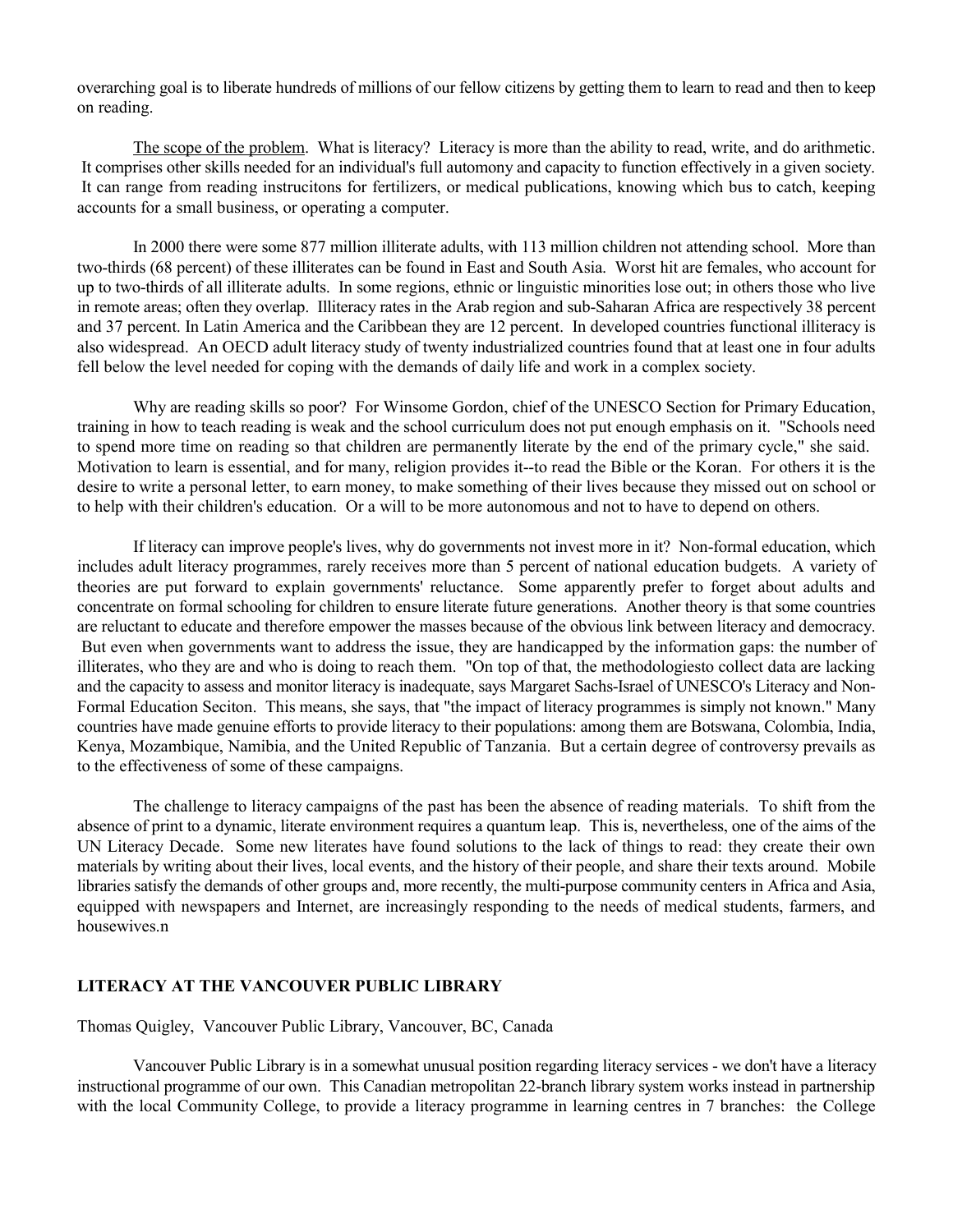overarching goal is to liberate hundreds of millions of our fellow citizens by getting them to learn to read and then to keep on reading.

The scope of the problem. What is literacy? Literacy is more than the ability to read, write, and do arithmetic. It comprises other skills needed for an individual's full automony and capacity to function effectively in a given society. It can range from reading instrucitons for fertilizers, or medical publications, knowing which bus to catch, keeping accounts for a small business, or operating a computer.

In 2000 there were some 877 million illiterate adults, with 113 million children not attending school. More than two-thirds (68 percent) of these illiterates can be found in East and South Asia. Worst hit are females, who account for up to two-thirds of all illiterate adults. In some regions, ethnic or linguistic minorities lose out; in others those who live in remote areas; often they overlap. Illiteracy rates in the Arab region and sub-Saharan Africa are respectively 38 percent and 37 percent. In Latin America and the Caribbean they are 12 percent. In developed countries functional illiteracy is also widespread. An OECD adult literacy study of twenty industrialized countries found that at least one in four adults fell below the level needed for coping with the demands of daily life and work in a complex society.

Why are reading skills so poor? For Winsome Gordon, chief of the UNESCO Section for Primary Education, training in how to teach reading is weak and the school curriculum does not put enough emphasis on it. "Schools need to spend more time on reading so that children are permanently literate by the end of the primary cycle," she said. Motivation to learn is essential, and for many, religion provides it--to read the Bible or the Koran. For others it is the desire to write a personal letter, to earn money, to make something of their lives because they missed out on school or to help with their children's education. Or a will to be more autonomous and not to have to depend on others.

If literacy can improve people's lives, why do governments not invest more in it? Non-formal education, which includes adult literacy programmes, rarely receives more than 5 percent of national education budgets. A variety of theories are put forward to explain governments' reluctance. Some apparently prefer to forget about adults and concentrate on formal schooling for children to ensure literate future generations. Another theory is that some countries are reluctant to educate and therefore empower the masses because of the obvious link between literacy and democracy. But even when governments want to address the issue, they are handicapped by the information gaps: the number of illiterates, who they are and who is doing to reach them. "On top of that, the methodologiesto collect data are lacking and the capacity to assess and monitor literacy is inadequate, says Margaret Sachs-Israel of UNESCO's Literacy and Non-Formal Education Seciton. This means, she says, that "the impact of literacy programmes is simply not known." Many countries have made genuine efforts to provide literacy to their populations: among them are Botswana, Colombia, India, Kenya, Mozambique, Namibia, and the United Republic of Tanzania. But a certain degree of controversy prevails as to the effectiveness of some of these campaigns.

The challenge to literacy campaigns of the past has been the absence of reading materials. To shift from the absence of print to a dynamic, literate environment requires a quantum leap. This is, nevertheless, one of the aims of the UN Literacy Decade. Some new literates have found solutions to the lack of things to read: they create their own materials by writing about their lives, local events, and the history of their people, and share their texts around. Mobile libraries satisfy the demands of other groups and, more recently, the multi-purpose community centers in Africa and Asia, equipped with newspapers and Internet, are increasingly responding to the needs of medical students, farmers, and housewives.n

#### **LITERACY AT THE VANCOUVER PUBLIC LIBRARY**

Thomas Quigley, Vancouver Public Library, Vancouver, BC, Canada

Vancouver Public Library is in a somewhat unusual position regarding literacy services - we don't have a literacy instructional programme of our own. This Canadian metropolitan 22-branch library system works instead in partnership with the local Community College, to provide a literacy programme in learning centres in 7 branches: the College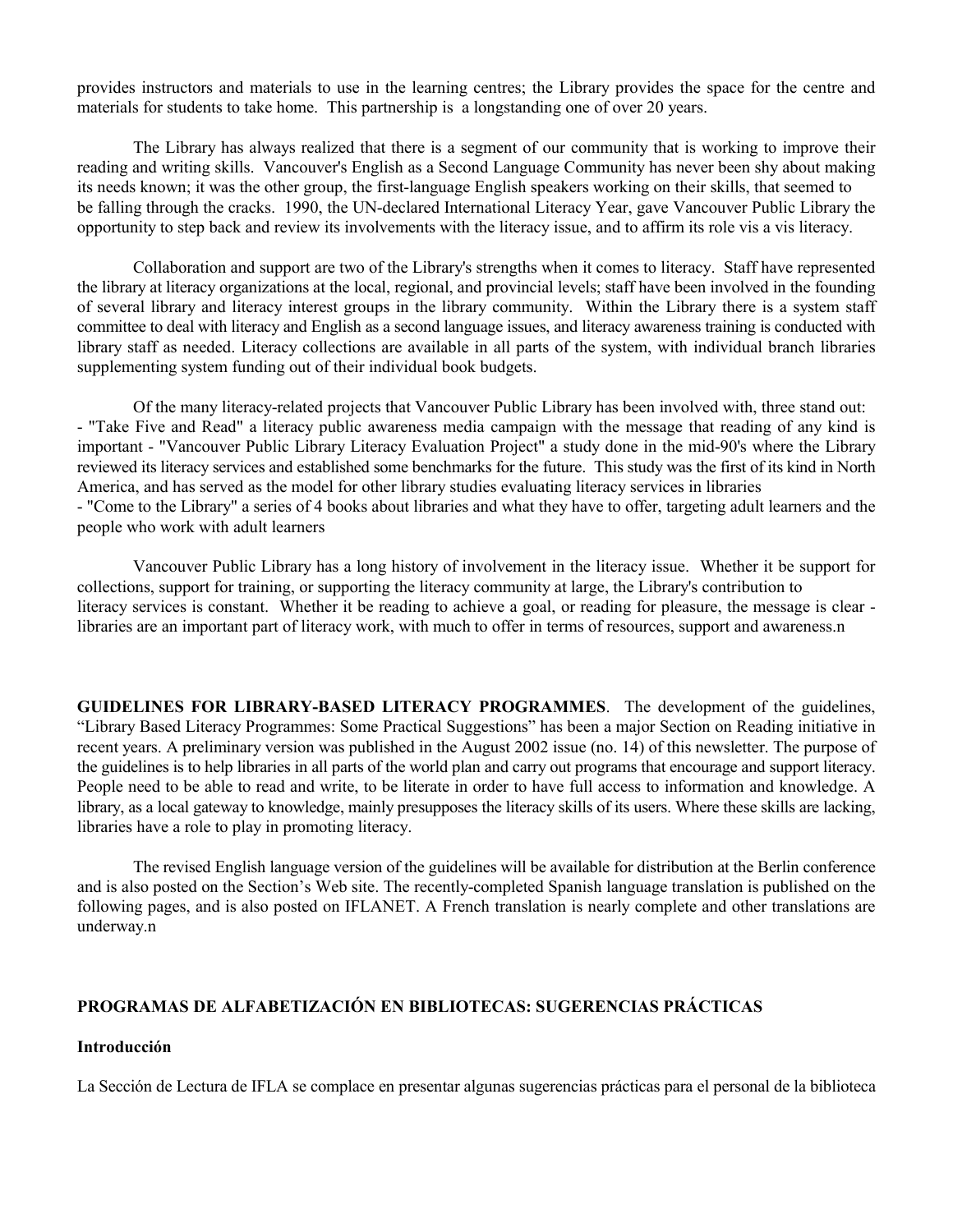provides instructors and materials to use in the learning centres; the Library provides the space for the centre and materials for students to take home. This partnership is a longstanding one of over 20 years.

The Library has always realized that there is a segment of our community that is working to improve their reading and writing skills. Vancouver's English as a Second Language Community has never been shy about making its needs known; it was the other group, the first-language English speakers working on their skills, that seemed to be falling through the cracks. 1990, the UN-declared International Literacy Year, gave Vancouver Public Library the opportunity to step back and review its involvements with the literacy issue, and to affirm its role vis a vis literacy.

Collaboration and support are two of the Library's strengths when it comes to literacy. Staff have represented the library at literacy organizations at the local, regional, and provincial levels; staff have been involved in the founding of several library and literacy interest groups in the library community. Within the Library there is a system staff committee to deal with literacy and English as a second language issues, and literacy awareness training is conducted with library staff as needed. Literacy collections are available in all parts of the system, with individual branch libraries supplementing system funding out of their individual book budgets.

Of the many literacy-related projects that Vancouver Public Library has been involved with, three stand out: - "Take Five and Read" a literacy public awareness media campaign with the message that reading of any kind is important - "Vancouver Public Library Literacy Evaluation Project" a study done in the mid-90's where the Library reviewed its literacy services and established some benchmarks for the future. This study was the first of its kind in North America, and has served as the model for other library studies evaluating literacy services in libraries - "Come to the Library" a series of 4 books about libraries and what they have to offer, targeting adult learners and the people who work with adult learners

Vancouver Public Library has a long history of involvement in the literacy issue. Whether it be support for collections, support for training, or supporting the literacy community at large, the Library's contribution to literacy services is constant. Whether it be reading to achieve a goal, or reading for pleasure, the message is clear libraries are an important part of literacy work, with much to offer in terms of resources, support and awareness.n

**GUIDELINES FOR LIBRARY-BASED LITERACY PROGRAMMES**. The development of the guidelines, "Library Based Literacy Programmes: Some Practical Suggestions" has been a major Section on Reading initiative in recent years. A preliminary version was published in the August 2002 issue (no. 14) of this newsletter. The purpose of the guidelines is to help libraries in all parts of the world plan and carry out programs that encourage and support literacy. People need to be able to read and write, to be literate in order to have full access to information and knowledge. A library, as a local gateway to knowledge, mainly presupposes the literacy skills of its users. Where these skills are lacking, libraries have a role to play in promoting literacy.

The revised English language version of the guidelines will be available for distribution at the Berlin conference and is also posted on the Section's Web site. The recently-completed Spanish language translation is published on the following pages, and is also posted on IFLANET. A French translation is nearly complete and other translations are underway.n

# **PROGRAMAS DE ALFABETIZACIÓN EN BIBLIOTECAS: SUGERENCIAS PRÁCTICAS**

#### **Introducción**

La Sección de Lectura de IFLA se complace en presentar algunas sugerencias prácticas para el personal de la biblioteca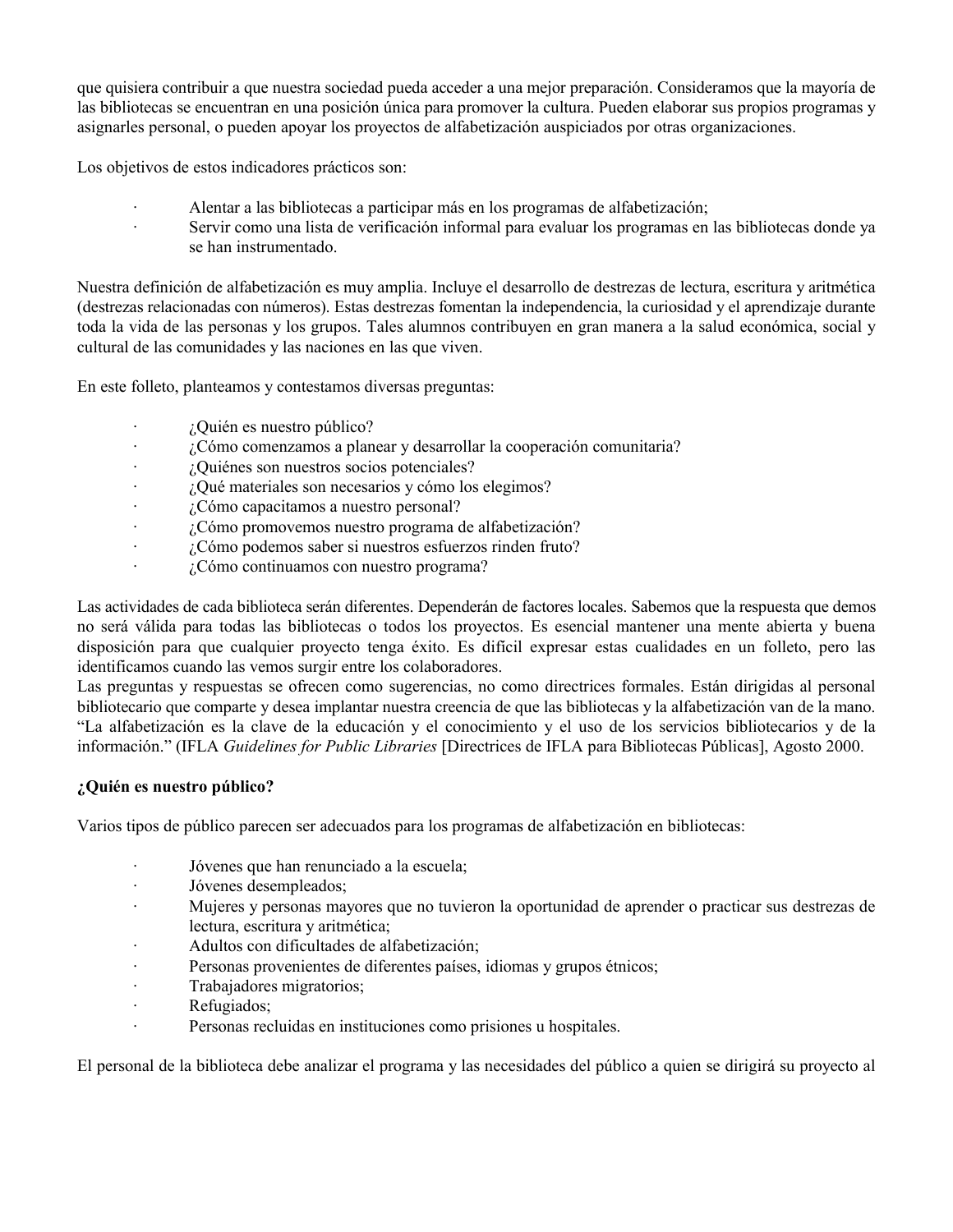que quisiera contribuir a que nuestra sociedad pueda acceder a una mejor preparación. Consideramos que la mayoría de las bibliotecas se encuentran en una posición única para promover la cultura. Pueden elaborar sus propios programas y asignarles personal, o pueden apoyar los proyectos de alfabetización auspiciados por otras organizaciones.

Los objetivos de estos indicadores prácticos son:

- · Alentar a las bibliotecas a participar más en los programas de alfabetización;
- · Servir como una lista de verificación informal para evaluar los programas en las bibliotecas donde ya se han instrumentado.

Nuestra definición de alfabetización es muy amplia. Incluye el desarrollo de destrezas de lectura, escritura y aritmética (destrezas relacionadas con números). Estas destrezas fomentan la independencia, la curiosidad y el aprendizaje durante toda la vida de las personas y los grupos. Tales alumnos contribuyen en gran manera a la salud económica, social y cultural de las comunidades y las naciones en las que viven.

En este folleto, planteamos y contestamos diversas preguntas:

- · ¿Quién es nuestro público?
- · ¿Cómo comenzamos a planear y desarrollar la cooperación comunitaria?
- · ¿Quiénes son nuestros socios potenciales?
- · ¿Qué materiales son necesarios y cómo los elegimos?
- · ¿Cómo capacitamos a nuestro personal?
- · ¿Cómo promovemos nuestro programa de alfabetización?
- · ¿Cómo podemos saber si nuestros esfuerzos rinden fruto?
- $\cdot$  *i*. Cómo continuamos con nuestro programa?

Las actividades de cada biblioteca serán diferentes. Dependerán de factores locales. Sabemos que la respuesta que demos no será válida para todas las bibliotecas o todos los proyectos. Es esencial mantener una mente abierta y buena disposición para que cualquier proyecto tenga éxito. Es difícil expresar estas cualidades en un folleto, pero las identificamos cuando las vemos surgir entre los colaboradores.

Las preguntas y respuestas se ofrecen como sugerencias, no como directrices formales. Están dirigidas al personal bibliotecario que comparte y desea implantar nuestra creencia de que las bibliotecas y la alfabetización van de la mano. "La alfabetización es la clave de la educación y el conocimiento y el uso de los servicios bibliotecarios y de la información." (IFLA *Guidelines for Public Libraries* [Directrices de IFLA para Bibliotecas Públicas], Agosto 2000.

# **¿Quién es nuestro público?**

Varios tipos de público parecen ser adecuados para los programas de alfabetización en bibliotecas:

- · Jóvenes que han renunciado a la escuela;
- · Jóvenes desempleados;
- · Mujeres y personas mayores que no tuvieron la oportunidad de aprender o practicar sus destrezas de lectura, escritura y aritmética;
- · Adultos con dificultades de alfabetización;
- · Personas provenientes de diferentes países, idiomas y grupos étnicos;
- · Trabajadores migratorios;
- · Refugiados;
- · Personas recluidas en instituciones como prisiones u hospitales.

El personal de la biblioteca debe analizar el programa y las necesidades del público a quien se dirigirá su proyecto al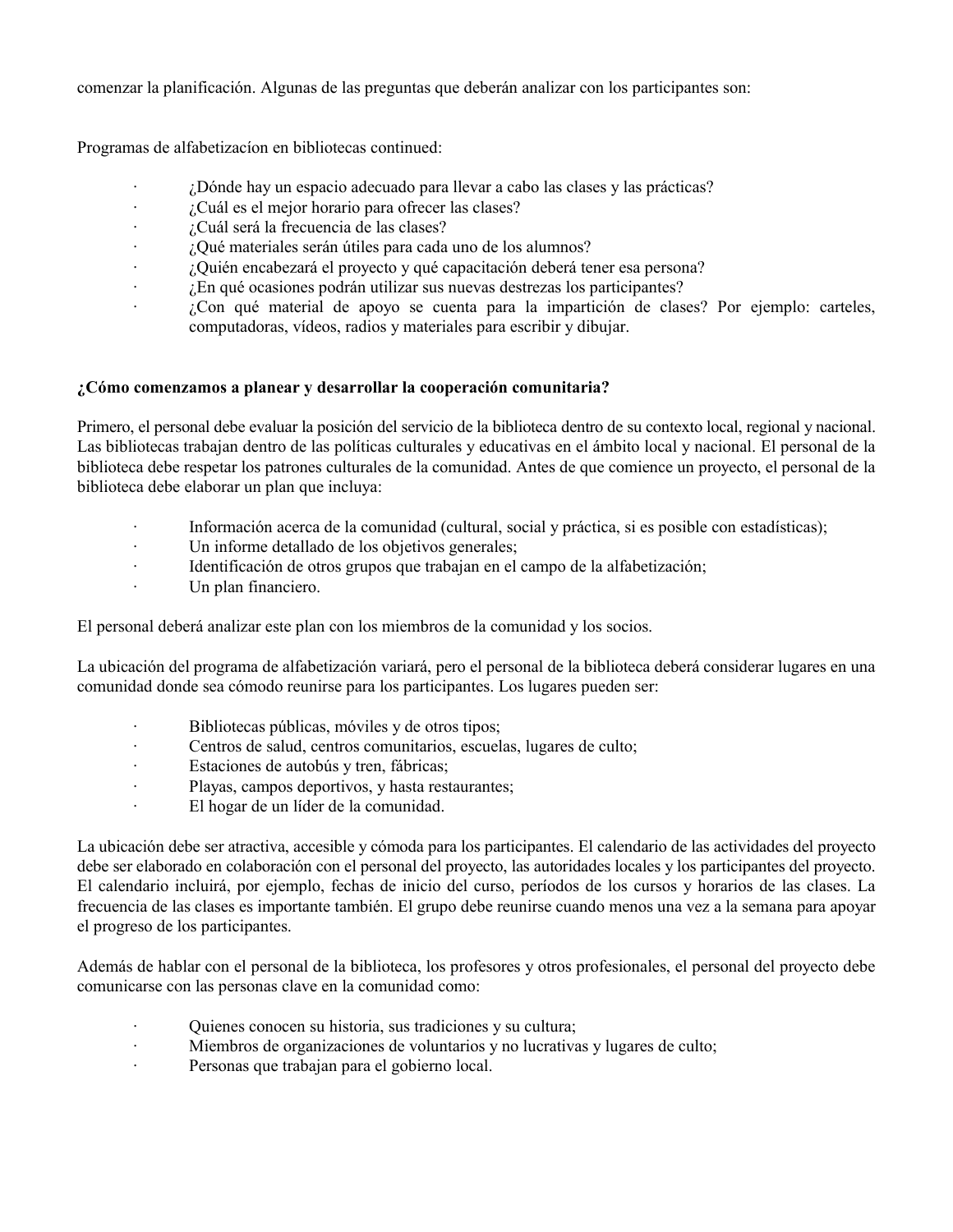comenzar la planificación. Algunas de las preguntas que deberán analizar con los participantes son:

Programas de alfabetizacíon en bibliotecas continued:

- · ¿Dónde hay un espacio adecuado para llevar a cabo las clases y las prácticas?
- · ¿Cuál es el mejor horario para ofrecer las clases?
- · ¿Cuál será la frecuencia de las clases?
- · ¿Qué materiales serán útiles para cada uno de los alumnos?
- · ¿Quién encabezará el proyecto y qué capacitación deberá tener esa persona?
- · ¿En qué ocasiones podrán utilizar sus nuevas destrezas los participantes?
- · ¿Con qué material de apoyo se cuenta para la impartición de clases? Por ejemplo: carteles, computadoras, vídeos, radios y materiales para escribir y dibujar.

# **¿Cómo comenzamos a planear y desarrollar la cooperación comunitaria?**

Primero, el personal debe evaluar la posición del servicio de la biblioteca dentro de su contexto local, regional y nacional. Las bibliotecas trabajan dentro de las políticas culturales y educativas en el ámbito local y nacional. El personal de la biblioteca debe respetar los patrones culturales de la comunidad. Antes de que comience un proyecto, el personal de la biblioteca debe elaborar un plan que incluya:

- Información acerca de la comunidad (cultural, social y práctica, si es posible con estadísticas);
- · Un informe detallado de los objetivos generales;
- · Identificación de otros grupos que trabajan en el campo de la alfabetización;
- · Un plan financiero.

El personal deberá analizar este plan con los miembros de la comunidad y los socios.

La ubicación del programa de alfabetización variará, pero el personal de la biblioteca deberá considerar lugares en una comunidad donde sea cómodo reunirse para los participantes. Los lugares pueden ser:

- · Bibliotecas públicas, móviles y de otros tipos;
- · Centros de salud, centros comunitarios, escuelas, lugares de culto;
- · Estaciones de autobús y tren, fábricas;
- · Playas, campos deportivos, y hasta restaurantes;
- · El hogar de un líder de la comunidad.

La ubicación debe ser atractiva, accesible y cómoda para los participantes. El calendario de las actividades del proyecto debe ser elaborado en colaboración con el personal del proyecto, las autoridades locales y los participantes del proyecto. El calendario incluirá, por ejemplo, fechas de inicio del curso, períodos de los cursos y horarios de las clases. La frecuencia de las clases es importante también. El grupo debe reunirse cuando menos una vez a la semana para apoyar el progreso de los participantes.

Además de hablar con el personal de la biblioteca, los profesores y otros profesionales, el personal del proyecto debe comunicarse con las personas clave en la comunidad como:

- · Quienes conocen su historia, sus tradiciones y su cultura;
- · Miembros de organizaciones de voluntarios y no lucrativas y lugares de culto;
- · Personas que trabajan para el gobierno local.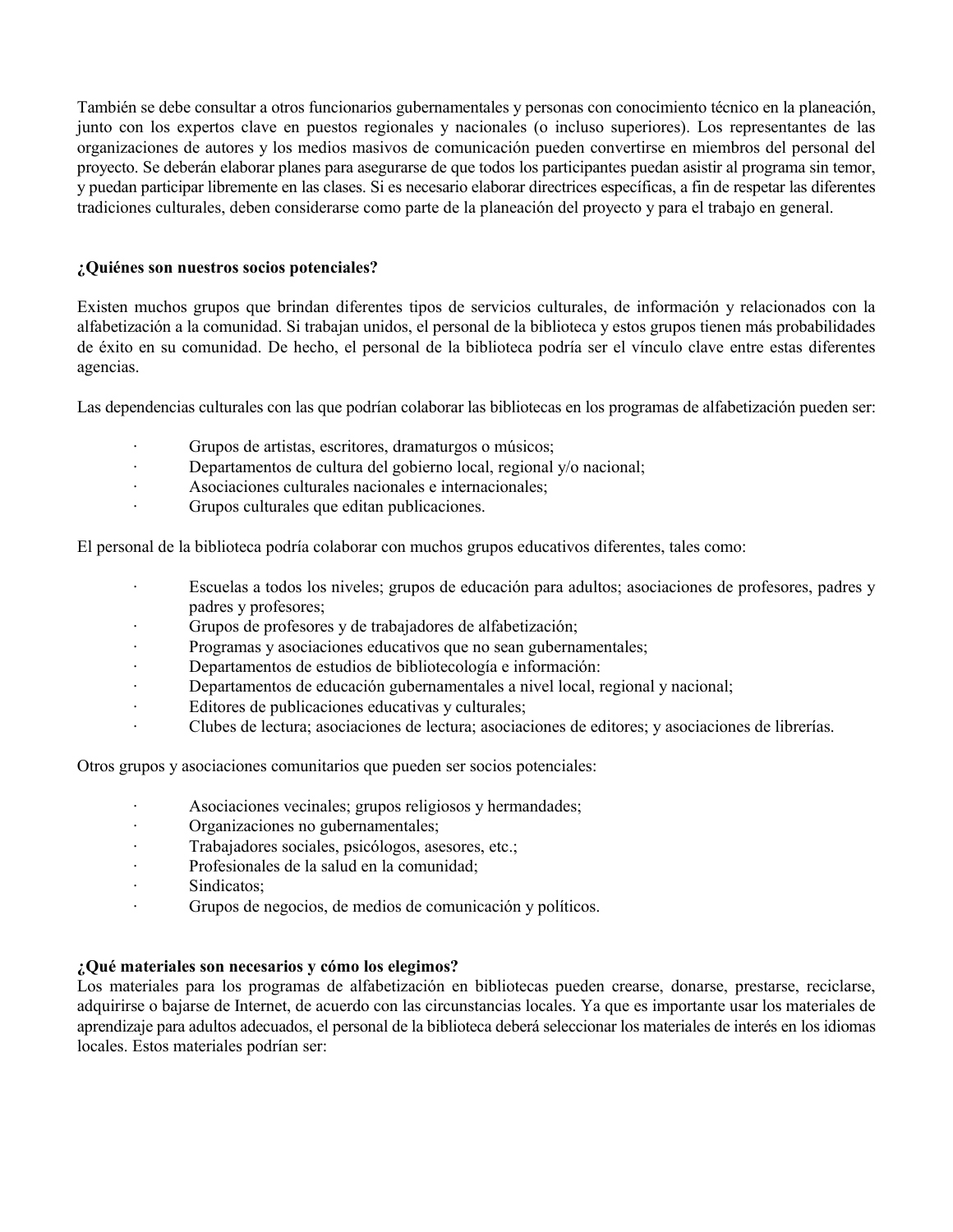También se debe consultar a otros funcionarios gubernamentales y personas con conocimiento técnico en la planeación, junto con los expertos clave en puestos regionales y nacionales (o incluso superiores). Los representantes de las organizaciones de autores y los medios masivos de comunicación pueden convertirse en miembros del personal del proyecto. Se deberán elaborar planes para asegurarse de que todos los participantes puedan asistir al programa sin temor, y puedan participar libremente en las clases. Si es necesario elaborar directrices específicas, a fin de respetar las diferentes tradiciones culturales, deben considerarse como parte de la planeación del proyecto y para el trabajo en general.

# **¿Quiénes son nuestros socios potenciales?**

Existen muchos grupos que brindan diferentes tipos de servicios culturales, de información y relacionados con la alfabetización a la comunidad. Si trabajan unidos, el personal de la biblioteca y estos grupos tienen más probabilidades de éxito en su comunidad. De hecho, el personal de la biblioteca podría ser el vínculo clave entre estas diferentes agencias.

Las dependencias culturales con las que podrían colaborar las bibliotecas en los programas de alfabetización pueden ser:

- · Grupos de artistas, escritores, dramaturgos o músicos;
- · Departamentos de cultura del gobierno local, regional y/o nacional;
- · Asociaciones culturales nacionales e internacionales;
- · Grupos culturales que editan publicaciones.

El personal de la biblioteca podría colaborar con muchos grupos educativos diferentes, tales como:

- · Escuelas a todos los niveles; grupos de educación para adultos; asociaciones de profesores, padres y padres y profesores;
- Grupos de profesores y de trabajadores de alfabetización;
- Programas y asociaciones educativos que no sean gubernamentales;
- Departamentos de estudios de bibliotecología e información:
- · Departamentos de educación gubernamentales a nivel local, regional y nacional;
- · Editores de publicaciones educativas y culturales;
- · Clubes de lectura; asociaciones de lectura; asociaciones de editores; y asociaciones de librerías.

Otros grupos y asociaciones comunitarios que pueden ser socios potenciales:

- Asociaciones vecinales; grupos religiosos y hermandades;
- · Organizaciones no gubernamentales;
- · Trabajadores sociales, psicólogos, asesores, etc.;
- · Profesionales de la salud en la comunidad;
- · Sindicatos;
- · Grupos de negocios, de medios de comunicación y políticos.

# **¿Qué materiales son necesarios y cómo los elegimos?**

Los materiales para los programas de alfabetización en bibliotecas pueden crearse, donarse, prestarse, reciclarse, adquirirse o bajarse de Internet, de acuerdo con las circunstancias locales. Ya que es importante usar los materiales de aprendizaje para adultos adecuados, el personal de la biblioteca deberá seleccionar los materiales de interés en los idiomas locales. Estos materiales podrían ser: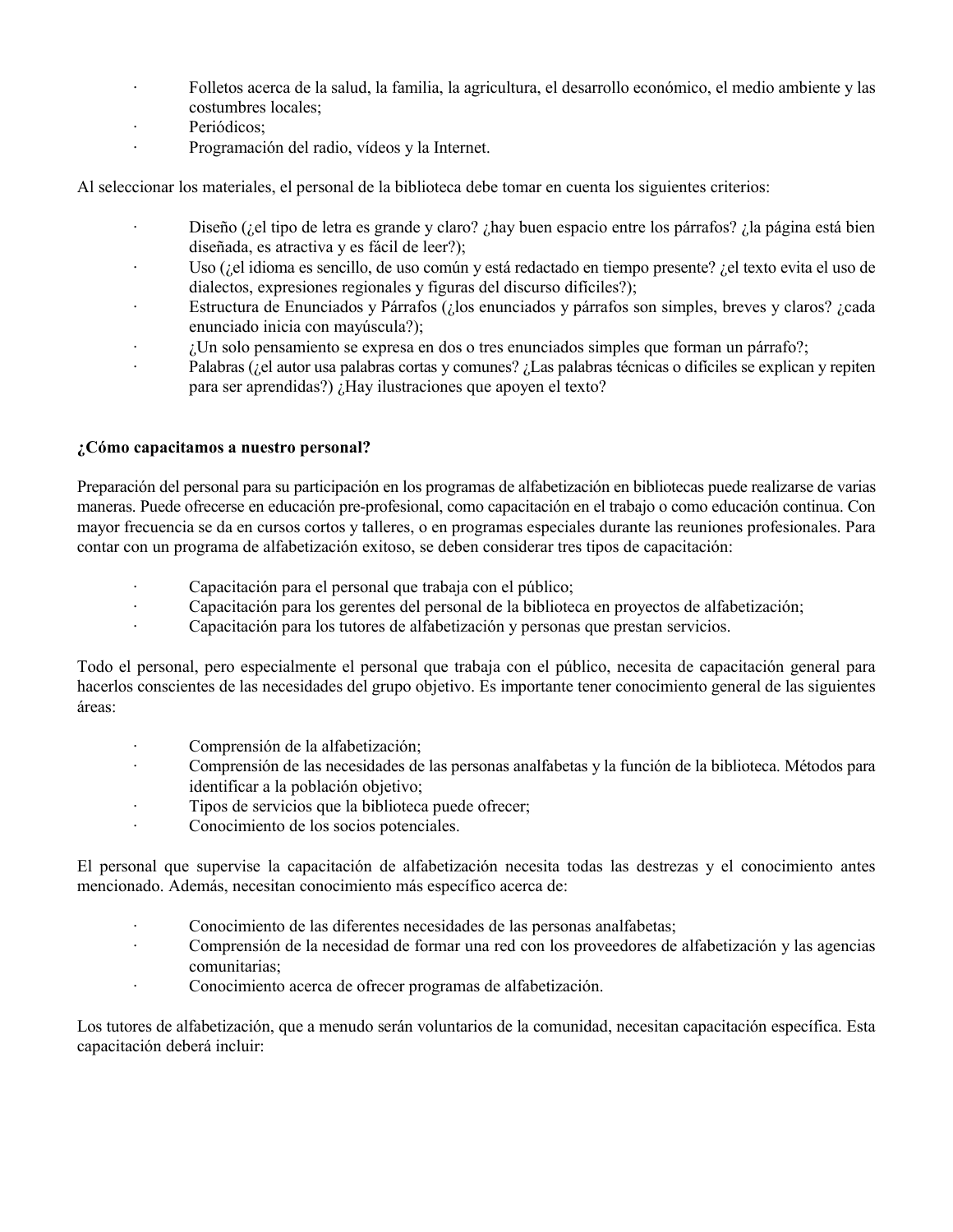- · Folletos acerca de la salud, la familia, la agricultura, el desarrollo económico, el medio ambiente y las costumbres locales;
- · Periódicos;
- · Programación del radio, vídeos y la Internet.

Al seleccionar los materiales, el personal de la biblioteca debe tomar en cuenta los siguientes criterios:

- · Diseño (¿el tipo de letra es grande y claro? ¿hay buen espacio entre los párrafos? ¿la página está bien diseñada, es atractiva y es fácil de leer?);
- · Uso (¿el idioma es sencillo, de uso común y está redactado en tiempo presente? ¿el texto evita el uso de dialectos, expresiones regionales y figuras del discurso difíciles?);
- · Estructura de Enunciados y Párrafos (¿los enunciados y párrafos son simples, breves y claros? ¿cada enunciado inicia con mayúscula?);
- $\cdot$  *i*. Un solo pensamiento se expresa en dos o tres enunciados simples que forman un párrafo?;
- · Palabras (¿el autor usa palabras cortas y comunes? ¿Las palabras técnicas o difíciles se explican y repiten para ser aprendidas?) ¿Hay ilustraciones que apoyen el texto?

# **¿Cómo capacitamos a nuestro personal?**

Preparación del personal para su participación en los programas de alfabetización en bibliotecas puede realizarse de varias maneras. Puede ofrecerse en educación pre-profesional, como capacitación en el trabajo o como educación continua. Con mayor frecuencia se da en cursos cortos y talleres, o en programas especiales durante las reuniones profesionales. Para contar con un programa de alfabetización exitoso, se deben considerar tres tipos de capacitación:

- Capacitación para el personal que trabaja con el público;
- · Capacitación para los gerentes del personal de la biblioteca en proyectos de alfabetización;
- · Capacitación para los tutores de alfabetización y personas que prestan servicios.

Todo el personal, pero especialmente el personal que trabaja con el público, necesita de capacitación general para hacerlos conscientes de las necesidades del grupo objetivo. Es importante tener conocimiento general de las siguientes áreas:

- · Comprensión de la alfabetización;
- · Comprensión de las necesidades de las personas analfabetas y la función de la biblioteca. Métodos para identificar a la población objetivo;
- · Tipos de servicios que la biblioteca puede ofrecer;
- · Conocimiento de los socios potenciales.

El personal que supervise la capacitación de alfabetización necesita todas las destrezas y el conocimiento antes mencionado. Además, necesitan conocimiento más específico acerca de:

- Conocimiento de las diferentes necesidades de las personas analfabetas;
- · Comprensión de la necesidad de formar una red con los proveedores de alfabetización y las agencias comunitarias;
- · Conocimiento acerca de ofrecer programas de alfabetización.

Los tutores de alfabetización, que a menudo serán voluntarios de la comunidad, necesitan capacitación específica. Esta capacitación deberá incluir: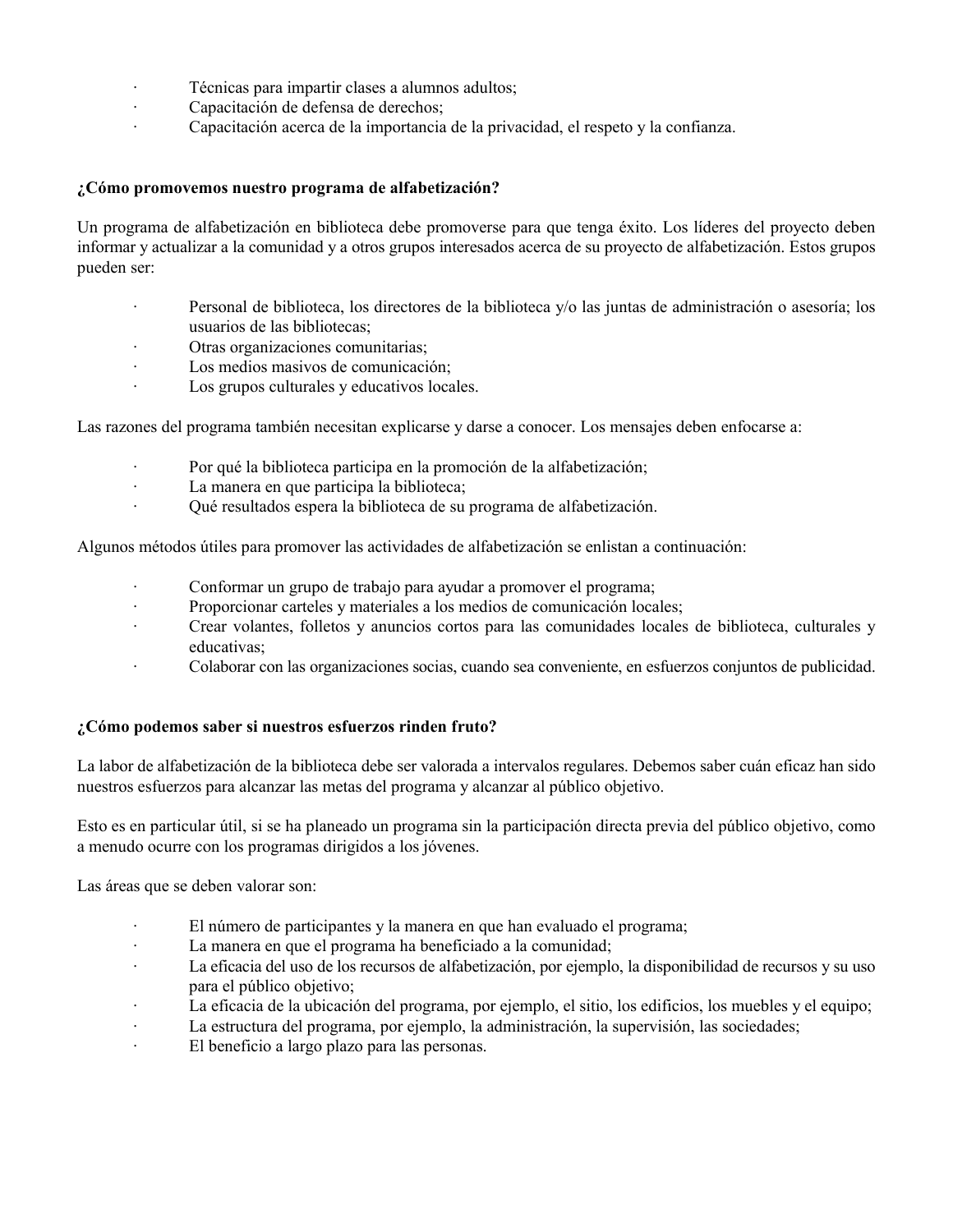- Técnicas para impartir clases a alumnos adultos;
- · Capacitación de defensa de derechos;
- · Capacitación acerca de la importancia de la privacidad, el respeto y la confianza.

# **¿Cómo promovemos nuestro programa de alfabetización?**

Un programa de alfabetización en biblioteca debe promoverse para que tenga éxito. Los líderes del proyecto deben informar y actualizar a la comunidad y a otros grupos interesados acerca de su proyecto de alfabetización. Estos grupos pueden ser:

- · Personal de biblioteca, los directores de la biblioteca y/o las juntas de administración o asesoría; los usuarios de las bibliotecas;
- Otras organizaciones comunitarias:
- · Los medios masivos de comunicación;
- · Los grupos culturales y educativos locales.

Las razones del programa también necesitan explicarse y darse a conocer. Los mensajes deben enfocarse a:

- · Por qué la biblioteca participa en la promoción de la alfabetización;
- · La manera en que participa la biblioteca;
- · Qué resultados espera la biblioteca de su programa de alfabetización.

Algunos métodos útiles para promover las actividades de alfabetización se enlistan a continuación:

- · Conformar un grupo de trabajo para ayudar a promover el programa;
- · Proporcionar carteles y materiales a los medios de comunicación locales;
- · Crear volantes, folletos y anuncios cortos para las comunidades locales de biblioteca, culturales y educativas;
- · Colaborar con las organizaciones socias, cuando sea conveniente, en esfuerzos conjuntos de publicidad.

# **¿Cómo podemos saber si nuestros esfuerzos rinden fruto?**

La labor de alfabetización de la biblioteca debe ser valorada a intervalos regulares. Debemos saber cuán eficaz han sido nuestros esfuerzos para alcanzar las metas del programa y alcanzar al público objetivo.

Esto es en particular útil, si se ha planeado un programa sin la participación directa previa del público objetivo, como a menudo ocurre con los programas dirigidos a los jóvenes.

Las áreas que se deben valorar son:

- · El número de participantes y la manera en que han evaluado el programa;
- · La manera en que el programa ha beneficiado a la comunidad;
- · La eficacia del uso de los recursos de alfabetización, por ejemplo, la disponibilidad de recursos y su uso para el público objetivo;
- · La eficacia de la ubicación del programa, por ejemplo, el sitio, los edificios, los muebles y el equipo;
- · La estructura del programa, por ejemplo, la administración, la supervisión, las sociedades;
- · El beneficio a largo plazo para las personas.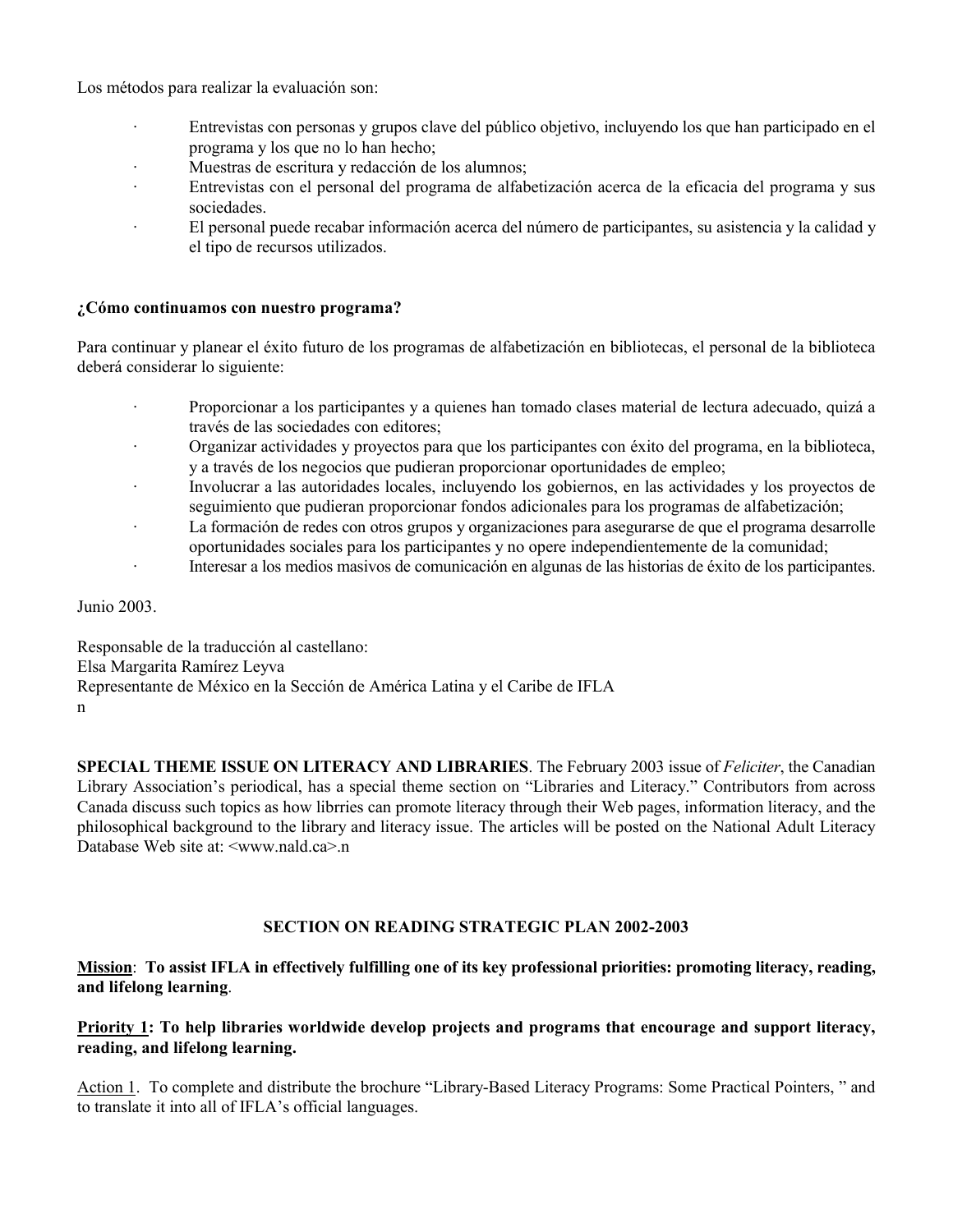Los métodos para realizar la evaluación son:

- · Entrevistas con personas y grupos clave del público objetivo, incluyendo los que han participado en el programa y los que no lo han hecho;
- · Muestras de escritura y redacción de los alumnos;
- Entrevistas con el personal del programa de alfabetización acerca de la eficacia del programa y sus sociedades.
- · El personal puede recabar información acerca del número de participantes, su asistencia y la calidad y el tipo de recursos utilizados.

## **¿Cómo continuamos con nuestro programa?**

Para continuar y planear el éxito futuro de los programas de alfabetización en bibliotecas, el personal de la biblioteca deberá considerar lo siguiente:

- · Proporcionar a los participantes y a quienes han tomado clases material de lectura adecuado, quizá a través de las sociedades con editores;
- · Organizar actividades y proyectos para que los participantes con éxito del programa, en la biblioteca, y a través de los negocios que pudieran proporcionar oportunidades de empleo;
- · Involucrar a las autoridades locales, incluyendo los gobiernos, en las actividades y los proyectos de seguimiento que pudieran proporcionar fondos adicionales para los programas de alfabetización;
- · La formación de redes con otros grupos y organizaciones para asegurarse de que el programa desarrolle oportunidades sociales para los participantes y no opere independientemente de la comunidad;
- · Interesar a los medios masivos de comunicación en algunas de las historias de éxito de los participantes.

Junio 2003.

Responsable de la traducción al castellano: Elsa Margarita Ramírez Leyva Representante de México en la Sección de América Latina y el Caribe de IFLA n

**SPECIAL THEME ISSUE ON LITERACY AND LIBRARIES**. The February 2003 issue of *Feliciter*, the Canadian Library Association's periodical, has a special theme section on "Libraries and Literacy." Contributors from across Canada discuss such topics as how librries can promote literacy through their Web pages, information literacy, and the philosophical background to the library and literacy issue. The articles will be posted on the National Adult Literacy Database Web site at:  $\leq$ www.nald.ca>.n

# **SECTION ON READING STRATEGIC PLAN 2002-2003**

# **Mission**: **To assist IFLA in effectively fulfilling one of its key professional priorities: promoting literacy, reading, and lifelong learning**.

# **Priority 1: To help libraries worldwide develop projects and programs that encourage and support literacy, reading, and lifelong learning.**

Action 1. To complete and distribute the brochure "Library-Based Literacy Programs: Some Practical Pointers, " and to translate it into all of IFLA's official languages.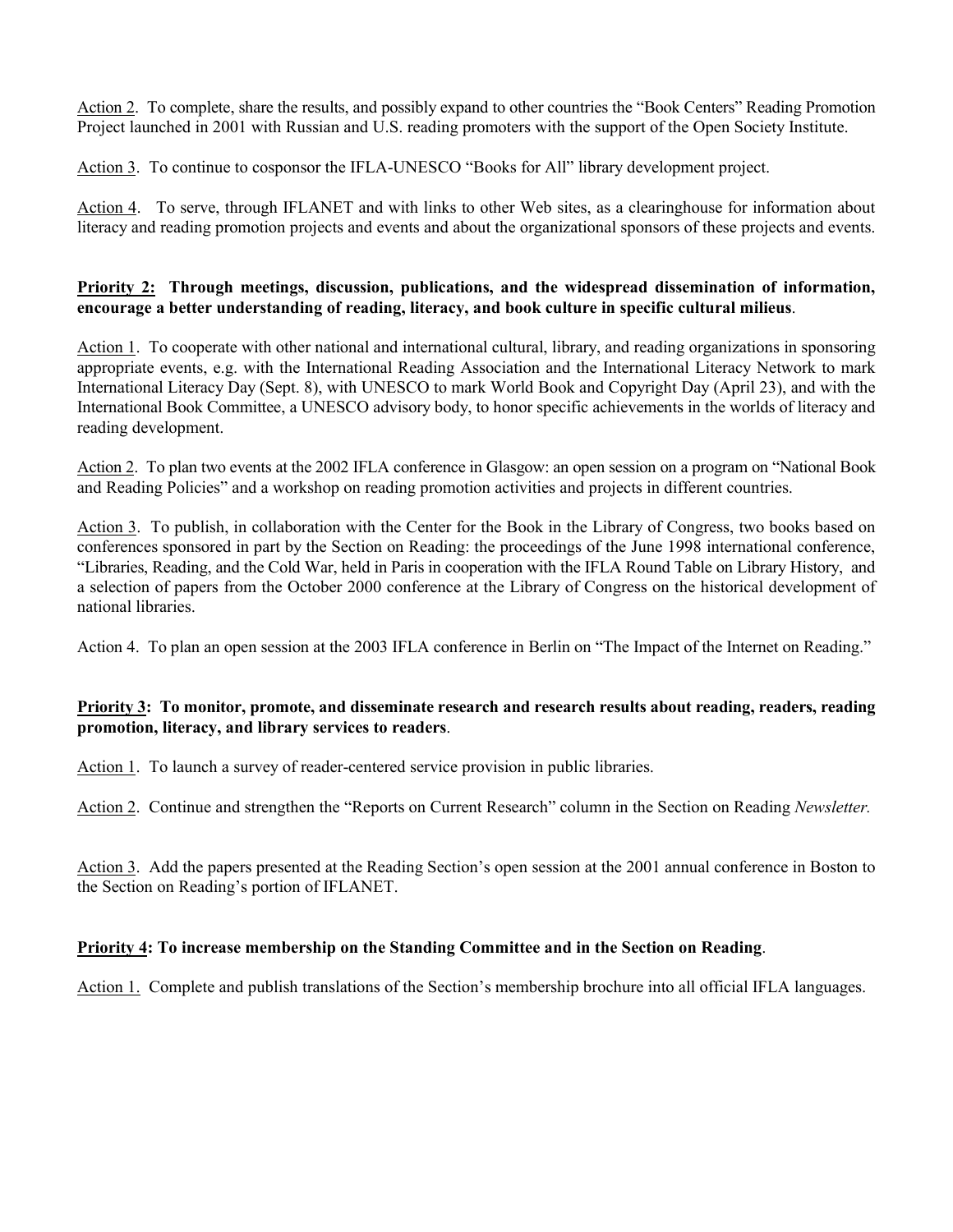Action 2. To complete, share the results, and possibly expand to other countries the "Book Centers" Reading Promotion Project launched in 2001 with Russian and U.S. reading promoters with the support of the Open Society Institute.

Action 3. To continue to cosponsor the IFLA-UNESCO "Books for All" library development project.

Action 4. To serve, through IFLANET and with links to other Web sites, as a clearinghouse for information about literacy and reading promotion projects and events and about the organizational sponsors of these projects and events.

# **Priority 2: Through meetings, discussion, publications, and the widespread dissemination of information, encourage a better understanding of reading, literacy, and book culture in specific cultural milieus**.

Action 1. To cooperate with other national and international cultural, library, and reading organizations in sponsoring appropriate events, e.g. with the International Reading Association and the International Literacy Network to mark International Literacy Day (Sept. 8), with UNESCO to mark World Book and Copyright Day (April 23), and with the International Book Committee, a UNESCO advisory body, to honor specific achievements in the worlds of literacy and reading development.

Action 2. To plan two events at the 2002 IFLA conference in Glasgow: an open session on a program on "National Book and Reading Policies" and a workshop on reading promotion activities and projects in different countries.

Action 3. To publish, in collaboration with the Center for the Book in the Library of Congress, two books based on conferences sponsored in part by the Section on Reading: the proceedings of the June 1998 international conference, "Libraries, Reading, and the Cold War, held in Paris in cooperation with the IFLA Round Table on Library History, and a selection of papers from the October 2000 conference at the Library of Congress on the historical development of national libraries.

Action 4. To plan an open session at the 2003 IFLA conference in Berlin on "The Impact of the Internet on Reading."

# **Priority 3: To monitor, promote, and disseminate research and research results about reading, readers, reading promotion, literacy, and library services to readers**.

Action 1. To launch a survey of reader-centered service provision in public libraries.

Action 2. Continue and strengthen the "Reports on Current Research" column in the Section on Reading *Newsletter.*

Action 3. Add the papers presented at the Reading Section's open session at the 2001 annual conference in Boston to the Section on Reading's portion of IFLANET.

# **Priority 4: To increase membership on the Standing Committee and in the Section on Reading**.

Action 1. Complete and publish translations of the Section's membership brochure into all official IFLA languages.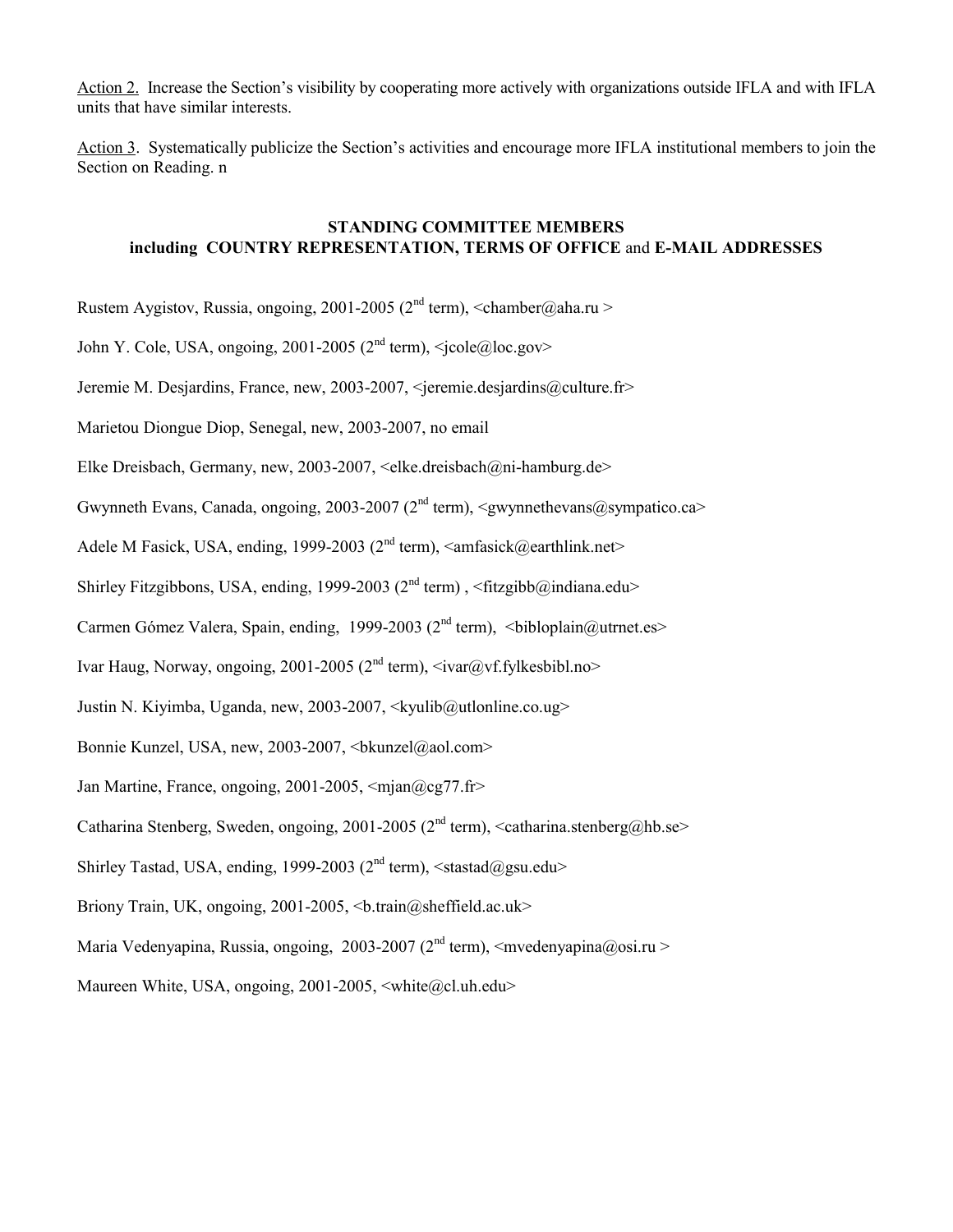Action 2. Increase the Section's visibility by cooperating more actively with organizations outside IFLA and with IFLA units that have similar interests.

Action 3. Systematically publicize the Section's activities and encourage more IFLA institutional members to join the Section on Reading. n

# **STANDING COMMITTEE MEMBERS including COUNTRY REPRESENTATION, TERMS OF OFFICE** and **E-MAIL ADDRESSES**

Rustem Aygistov, Russia, ongoing, 2001-2005 ( $2<sup>nd</sup>$  term), <chamber@aha.ru >

John Y. Cole, USA, ongoing, 2001-2005 ( $2<sup>nd</sup>$  term),  $\langle$ jcole@loc.gov>

Jeremie M. Desjardins, France, new, 2003-2007, <jeremie.desjardins@culture.fr>

Marietou Diongue Diop, Senegal, new, 2003-2007, no email

Elke Dreisbach, Germany, new, 2003-2007, <elke.dreisbach@ni-hamburg.de>

Gwynneth Evans, Canada, ongoing, 2003-2007 (2<sup>nd</sup> term),  $\langle$ gwynnethevans@sympatico.ca>

Adele M Fasick, USA, ending, 1999-2003 ( $2<sup>nd</sup>$  term),  $\langle$ amfasick@earthlink.net $\rangle$ 

Shirley Fitzgibbons, USA, ending, 1999-2003 ( $2<sup>nd</sup>$  term), <fitzgibb@indiana.edu>

Carmen Gómez Valera, Spain, ending, 1999-2003 ( $2<sup>nd</sup>$  term),  $\lt$ bibloplain@utrnet.es>

Ivar Haug, Norway, ongoing, 2001-2005 ( $2<sup>nd</sup>$  term),  $\langle$ ivar $@$ vf.fylkesbibl.no $>$ 

Justin N. Kiyimba, Uganda, new, 2003-2007, <kyulib@utlonline.co.ug>

Bonnie Kunzel, USA, new, 2003-2007,  $\langle$ bkunzel@aol.com>

Jan Martine, France, ongoing, 2001-2005, <mjan@cg77.fr>

Catharina Stenberg, Sweden, ongoing, 2001-2005 ( $2<sup>nd</sup>$  term), <catharina.stenberg@hb.se>

Shirley Tastad, USA, ending, 1999-2003 ( $2<sup>nd</sup>$  term),  $\leq$ stastad $@gg$ su.edu $>$ 

Briony Train, UK, ongoing,  $2001-2005$ ,  $\&$  train@sheffield.ac.uk>

Maria Vedenyapina, Russia, ongoing, 2003-2007 (2<sup>nd</sup> term),  $\langle$ mvedenyapina@osi.ru  $>$ 

Maureen White, USA, ongoing, 2001-2005,  $\langle$ white@cl.uh.edu>